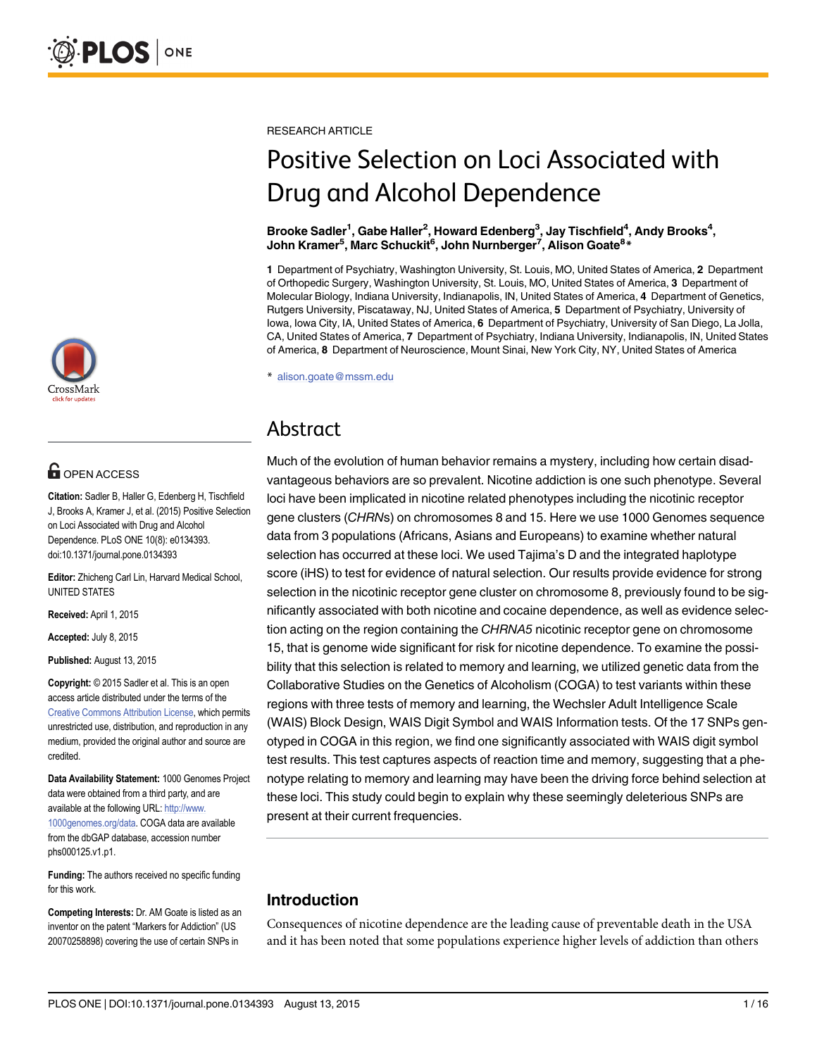

# **OPEN ACCESS**

Citation: Sadler B, Haller G, Edenberg H, Tischfield J, Brooks A, Kramer J, et al. (2015) Positive Selection on Loci Associated with Drug and Alcohol Dependence. PLoS ONE 10(8): e0134393. doi:10.1371/journal.pone.0134393

Editor: Zhicheng Carl Lin, Harvard Medical School, UNITED STATES

Received: April 1, 2015

Accepted: July 8, 2015

Published: August 13, 2015

Copyright: © 2015 Sadler et al. This is an open access article distributed under the terms of the [Creative Commons Attribution License,](http://creativecommons.org/licenses/by/4.0/) which permits unrestricted use, distribution, and reproduction in any medium, provided the original author and source are credited.

Data Availability Statement: 1000 Genomes Project data were obtained from a third party, and are available at the following URL: [http://www.](http://www.1000genomes.org/data) [1000genomes.org/data.](http://www.1000genomes.org/data) COGA data are available from the dbGAP database, accession number phs000125.v1.p1.

Funding: The authors received no specific funding for this work.

Competing Interests: Dr. AM Goate is listed as an inventor on the patent "Markers for Addiction" (US 20070258898) covering the use of certain SNPs in

<span id="page-0-0"></span>RESEARCH ARTICLE

# Positive Selection on Loci Associated with Drug and Alcohol Dependence

Brooke Sadler<sup>1</sup>, Gabe Haller<sup>2</sup>, Howard Edenberg<sup>3</sup>, Jay Tischfield<sup>4</sup>, Andy Brooks<sup>4</sup>, John Kramer<sup>5</sup>, Marc Schuckit<sup>6</sup>, John Nurnberger<sup>7</sup>, Alison Goate<sup>8</sup>\*

1 Department of Psychiatry, Washington University, St. Louis, MO, United States of America, 2 Department of Orthopedic Surgery, Washington University, St. Louis, MO, United States of America, 3 Department of Molecular Biology, Indiana University, Indianapolis, IN, United States of America, 4 Department of Genetics, Rutgers University, Piscataway, NJ, United States of America, 5 Department of Psychiatry, University of Iowa, Iowa City, IA, United States of America, 6 Department of Psychiatry, University of San Diego, La Jolla, CA, United States of America, 7 Department of Psychiatry, Indiana University, Indianapolis, IN, United States of America, 8 Department of Neuroscience, Mount Sinai, New York City, NY, United States of America

\* alison.goate@mssm.edu

# Abstract

Much of the evolution of human behavior remains a mystery, including how certain disadvantageous behaviors are so prevalent. Nicotine addiction is one such phenotype. Several loci have been implicated in nicotine related phenotypes including the nicotinic receptor gene clusters (CHRNs) on chromosomes 8 and 15. Here we use 1000 Genomes sequence data from 3 populations (Africans, Asians and Europeans) to examine whether natural selection has occurred at these loci. We used Tajima's D and the integrated haplotype score (iHS) to test for evidence of natural selection. Our results provide evidence for strong selection in the nicotinic receptor gene cluster on chromosome 8, previously found to be significantly associated with both nicotine and cocaine dependence, as well as evidence selection acting on the region containing the CHRNA5 nicotinic receptor gene on chromosome 15, that is genome wide significant for risk for nicotine dependence. To examine the possibility that this selection is related to memory and learning, we utilized genetic data from the Collaborative Studies on the Genetics of Alcoholism (COGA) to test variants within these regions with three tests of memory and learning, the Wechsler Adult Intelligence Scale (WAIS) Block Design, WAIS Digit Symbol and WAIS Information tests. Of the 17 SNPs genotyped in COGA in this region, we find one significantly associated with WAIS digit symbol test results. This test captures aspects of reaction time and memory, suggesting that a phenotype relating to memory and learning may have been the driving force behind selection at these loci. This study could begin to explain why these seemingly deleterious SNPs are present at their current frequencies.

## Introduction

Consequences of nicotine dependence are the leading cause of preventable death in the USA and it has been noted that some populations experience higher levels of addiction than others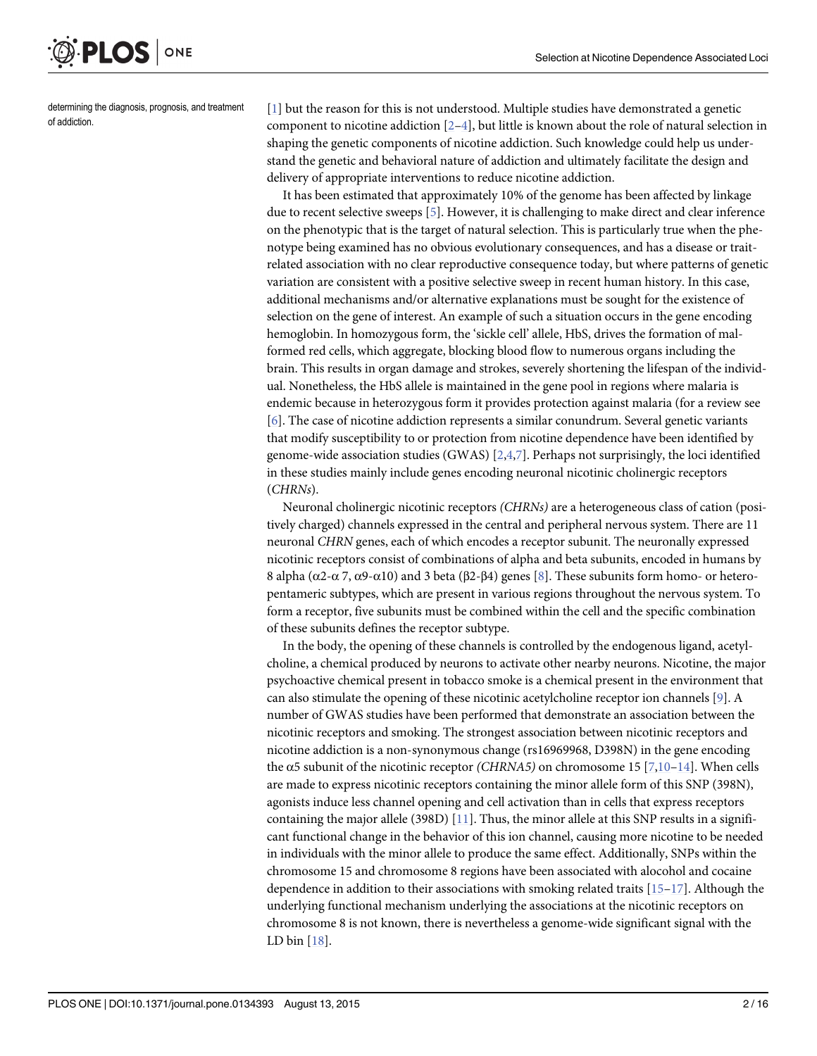determining the diagnosis, prognosis, and treatment of addiction.

ONE

<span id="page-1-0"></span>**PLOS** I

[\[1](#page-13-0)] but the reason for this is not understood. Multiple studies have demonstrated a genetic component to nicotine addiction  $[2-4]$  $[2-4]$  $[2-4]$  $[2-4]$ , but little is known about the role of natural selection in shaping the genetic components of nicotine addiction. Such knowledge could help us understand the genetic and behavioral nature of addiction and ultimately facilitate the design and delivery of appropriate interventions to reduce nicotine addiction.

It has been estimated that approximately 10% of the genome has been affected by linkage due to recent selective sweeps [\[5](#page-14-0)]. However, it is challenging to make direct and clear inference on the phenotypic that is the target of natural selection. This is particularly true when the phenotype being examined has no obvious evolutionary consequences, and has a disease or traitrelated association with no clear reproductive consequence today, but where patterns of genetic variation are consistent with a positive selective sweep in recent human history. In this case, additional mechanisms and/or alternative explanations must be sought for the existence of selection on the gene of interest. An example of such a situation occurs in the gene encoding hemoglobin. In homozygous form, the 'sickle cell' allele, HbS, drives the formation of malformed red cells, which aggregate, blocking blood flow to numerous organs including the brain. This results in organ damage and strokes, severely shortening the lifespan of the individual. Nonetheless, the HbS allele is maintained in the gene pool in regions where malaria is endemic because in heterozygous form it provides protection against malaria (for a review see [\[6](#page-14-0)]. The case of nicotine addiction represents a similar conundrum. Several genetic variants that modify susceptibility to or protection from nicotine dependence have been identified by genome-wide association studies (GWAS) [[2,4](#page-13-0),[7](#page-14-0)]. Perhaps not surprisingly, the loci identified in these studies mainly include genes encoding neuronal nicotinic cholinergic receptors (CHRNs).

Neuronal cholinergic nicotinic receptors (CHRNs) are a heterogeneous class of cation (positively charged) channels expressed in the central and peripheral nervous system. There are 11 neuronal CHRN genes, each of which encodes a receptor subunit. The neuronally expressed nicotinic receptors consist of combinations of alpha and beta subunits, encoded in humans by 8 alpha (α2-α 7, α9-α10) and 3 beta (β2-β4) genes [\[8](#page-14-0)]. These subunits form homo- or heteropentameric subtypes, which are present in various regions throughout the nervous system. To form a receptor, five subunits must be combined within the cell and the specific combination of these subunits defines the receptor subtype.

In the body, the opening of these channels is controlled by the endogenous ligand, acetylcholine, a chemical produced by neurons to activate other nearby neurons. Nicotine, the major psychoactive chemical present in tobacco smoke is a chemical present in the environment that can also stimulate the opening of these nicotinic acetylcholine receptor ion channels [\[9](#page-14-0)]. A number of GWAS studies have been performed that demonstrate an association between the nicotinic receptors and smoking. The strongest association between nicotinic receptors and nicotine addiction is a non-synonymous change (rs16969968, D398N) in the gene encoding the  $\alpha$ 5 subunit of the nicotinic receptor (CHRNA5) on chromosome 15 [\[7,10](#page-14-0)–[14](#page-14-0)]. When cells are made to express nicotinic receptors containing the minor allele form of this SNP (398N), agonists induce less channel opening and cell activation than in cells that express receptors containing the major allele (398D) [\[11\]](#page-14-0). Thus, the minor allele at this SNP results in a significant functional change in the behavior of this ion channel, causing more nicotine to be needed in individuals with the minor allele to produce the same effect. Additionally, SNPs within the chromosome 15 and chromosome 8 regions have been associated with alocohol and cocaine dependence in addition to their associations with smoking related traits [\[15](#page-14-0)–[17](#page-14-0)]. Although the underlying functional mechanism underlying the associations at the nicotinic receptors on chromosome 8 is not known, there is nevertheless a genome-wide significant signal with the LD bin [[18](#page-14-0)].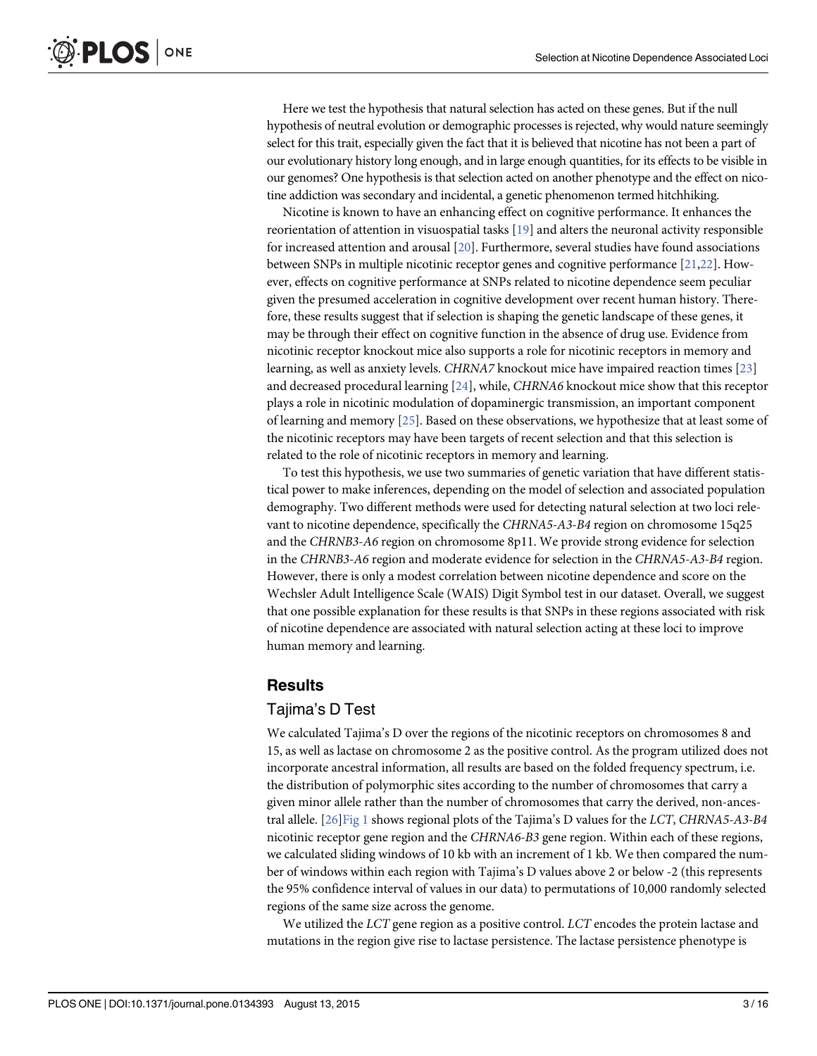<span id="page-2-0"></span>Here we test the hypothesis that natural selection has acted on these genes. But if the null hypothesis of neutral evolution or demographic processes is rejected, why would nature seemingly select for this trait, especially given the fact that it is believed that nicotine has not been a part of our evolutionary history long enough, and in large enough quantities, for its effects to be visible in our genomes? One hypothesis is that selection acted on another phenotype and the effect on nicotine addiction was secondary and incidental, a genetic phenomenon termed hitchhiking.

Nicotine is known to have an enhancing effect on cognitive performance. It enhances the reorientation of attention in visuospatial tasks [\[19\]](#page-14-0) and alters the neuronal activity responsible for increased attention and arousal [\[20\]](#page-14-0). Furthermore, several studies have found associations between SNPs in multiple nicotinic receptor genes and cognitive performance [\[21,22\]](#page-14-0). However, effects on cognitive performance at SNPs related to nicotine dependence seem peculiar given the presumed acceleration in cognitive development over recent human history. Therefore, these results suggest that if selection is shaping the genetic landscape of these genes, it may be through their effect on cognitive function in the absence of drug use. Evidence from nicotinic receptor knockout mice also supports a role for nicotinic receptors in memory and learning, as well as anxiety levels. CHRNA7 knockout mice have impaired reaction times [[23](#page-14-0)] and decreased procedural learning [[24](#page-14-0)], while, CHRNA6 knockout mice show that this receptor plays a role in nicotinic modulation of dopaminergic transmission, an important component of learning and memory [[25](#page-14-0)]. Based on these observations, we hypothesize that at least some of the nicotinic receptors may have been targets of recent selection and that this selection is related to the role of nicotinic receptors in memory and learning.

To test this hypothesis, we use two summaries of genetic variation that have different statistical power to make inferences, depending on the model of selection and associated population demography. Two different methods were used for detecting natural selection at two loci relevant to nicotine dependence, specifically the CHRNA5-A3-B4 region on chromosome 15q25 and the CHRNB3-A6 region on chromosome 8p11. We provide strong evidence for selection in the CHRNB3-A6 region and moderate evidence for selection in the CHRNA5-A3-B4 region. However, there is only a modest correlation between nicotine dependence and score on the Wechsler Adult Intelligence Scale (WAIS) Digit Symbol test in our dataset. Overall, we suggest that one possible explanation for these results is that SNPs in these regions associated with risk of nicotine dependence are associated with natural selection acting at these loci to improve human memory and learning.

#### **Results**

#### Tajima's D Test

We calculated Tajima's D over the regions of the nicotinic receptors on chromosomes 8 and 15, as well as lactase on chromosome 2 as the positive control. As the program utilized does not incorporate ancestral information, all results are based on the folded frequency spectrum, i.e. the distribution of polymorphic sites according to the number of chromosomes that carry a given minor allele rather than the number of chromosomes that carry the derived, non-ancestral allele. [[26](#page-15-0)][Fig 1](#page-3-0) shows regional plots of the Tajima's D values for the LCT, CHRNA5-A3-B4 nicotinic receptor gene region and the CHRNA6-B3 gene region. Within each of these regions, we calculated sliding windows of 10 kb with an increment of 1 kb. We then compared the number of windows within each region with Tajima's D values above 2 or below -2 (this represents the 95% confidence interval of values in our data) to permutations of 10,000 randomly selected regions of the same size across the genome.

We utilized the LCT gene region as a positive control. LCT encodes the protein lactase and mutations in the region give rise to lactase persistence. The lactase persistence phenotype is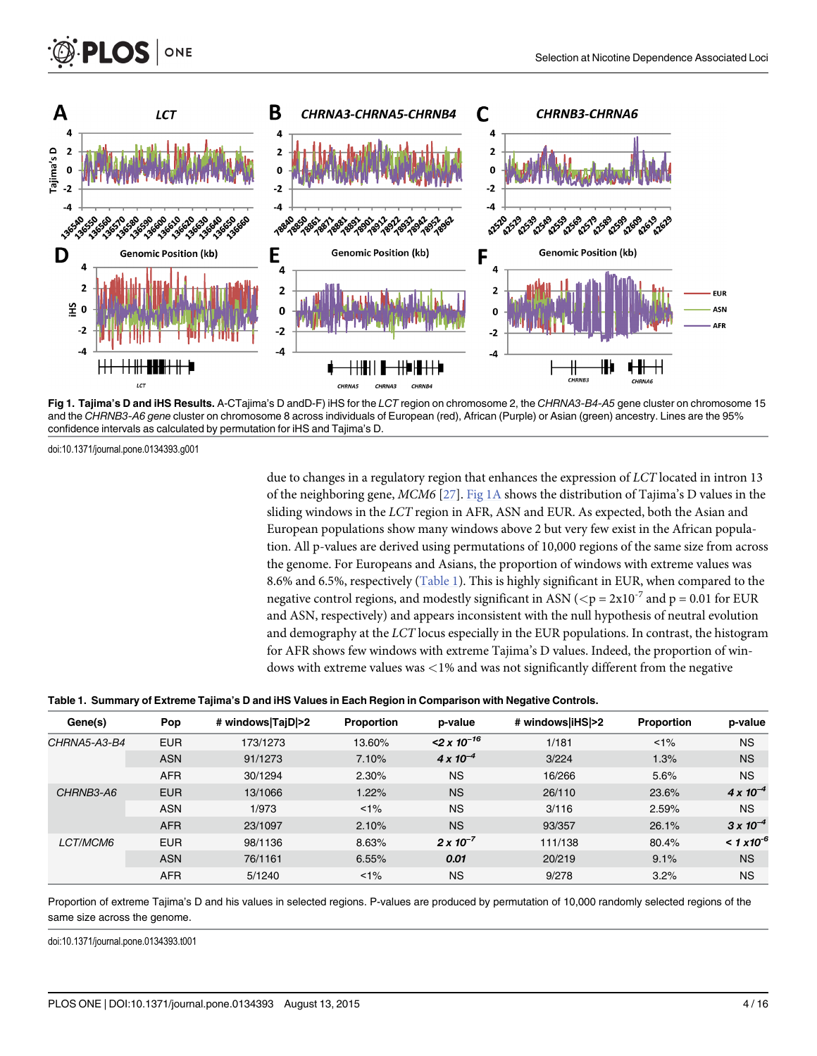<span id="page-3-0"></span>



[Fig 1. T](#page-2-0)ajima's D and iHS Results. A-CTajima's D andD-F) iHS for the LCT region on chromosome 2, the CHRNA3-B4-A5 gene cluster on chromosome 15 and the CHRNB3-A6 gene cluster on chromosome 8 across individuals of European (red), African (Purple) or Asian (green) ancestry. Lines are the 95% confidence intervals as calculated by permutation for iHS and Tajima's D.

doi:10.1371/journal.pone.0134393.g001

due to changes in a regulatory region that enhances the expression of LCT located in intron 13 of the neighboring gene,  $MCM6$  [\[27\]](#page-15-0). Fig 1A shows the distribution of Tajima's D values in the sliding windows in the LCT region in AFR, ASN and EUR. As expected, both the Asian and European populations show many windows above 2 but very few exist in the African population. All p-values are derived using permutations of 10,000 regions of the same size from across the genome. For Europeans and Asians, the proportion of windows with extreme values was 8.6% and 6.5%, respectively (Table 1). This is highly significant in EUR, when compared to the negative control regions, and modestly significant in ASN ( $\langle p = 2x10^{-7}$  and  $p = 0.01$  for EUR and ASN, respectively) and appears inconsistent with the null hypothesis of neutral evolution and demography at the LCT locus especially in the EUR populations. In contrast, the histogram for AFR shows few windows with extreme Tajima's D values. Indeed, the proportion of windows with extreme values was <1% and was not significantly different from the negative

#### Table 1. Summary of Extreme Tajima's D and iHS Values in Each Region in Comparison with Negative Controls.

| Gene(s)      | Pop        | # windows TajD > 2 | Proportion | p-value             | # windows iHS  > 2 | <b>Proportion</b> | p-value            |
|--------------|------------|--------------------|------------|---------------------|--------------------|-------------------|--------------------|
| CHRNA5-A3-B4 | <b>EUR</b> | 173/1273           | 13.60%     | $2 \times 10^{-16}$ | 1/181              | $1\%$             | <b>NS</b>          |
|              | <b>ASN</b> | 91/1273            | 7.10%      | $4 \times 10^{-4}$  | 3/224              | 1.3%              | <b>NS</b>          |
|              | <b>AFR</b> | 30/1294            | 2.30%      | <b>NS</b>           | 16/266             | 5.6%              | <b>NS</b>          |
| CHRNB3-A6    | <b>EUR</b> | 13/1066            | 1.22%      | <b>NS</b>           | 26/110             | 23.6%             | $4 \times 10^{-4}$ |
|              | <b>ASN</b> | 1/973              | $1\%$      | <b>NS</b>           | 3/116              | 2.59%             | <b>NS</b>          |
|              | <b>AFR</b> | 23/1097            | 2.10%      | <b>NS</b>           | 93/357             | 26.1%             | $3 \times 10^{-4}$ |
| LCT/MCM6     | <b>EUR</b> | 98/1136            | 8.63%      | $2 \times 10^{-7}$  | 111/138            | 80.4%             | $1 \times 10^{-6}$ |
|              | <b>ASN</b> | 76/1161            | 6.55%      | 0.01                | 20/219             | 9.1%              | <b>NS</b>          |
|              | <b>AFR</b> | 5/1240             | $1\%$      | <b>NS</b>           | 9/278              | 3.2%              | <b>NS</b>          |

Proportion of extreme Tajima's D and his values in selected regions. P-values are produced by permutation of 10,000 randomly selected regions of the same size across the genome.

doi:10.1371/journal.pone.0134393.t001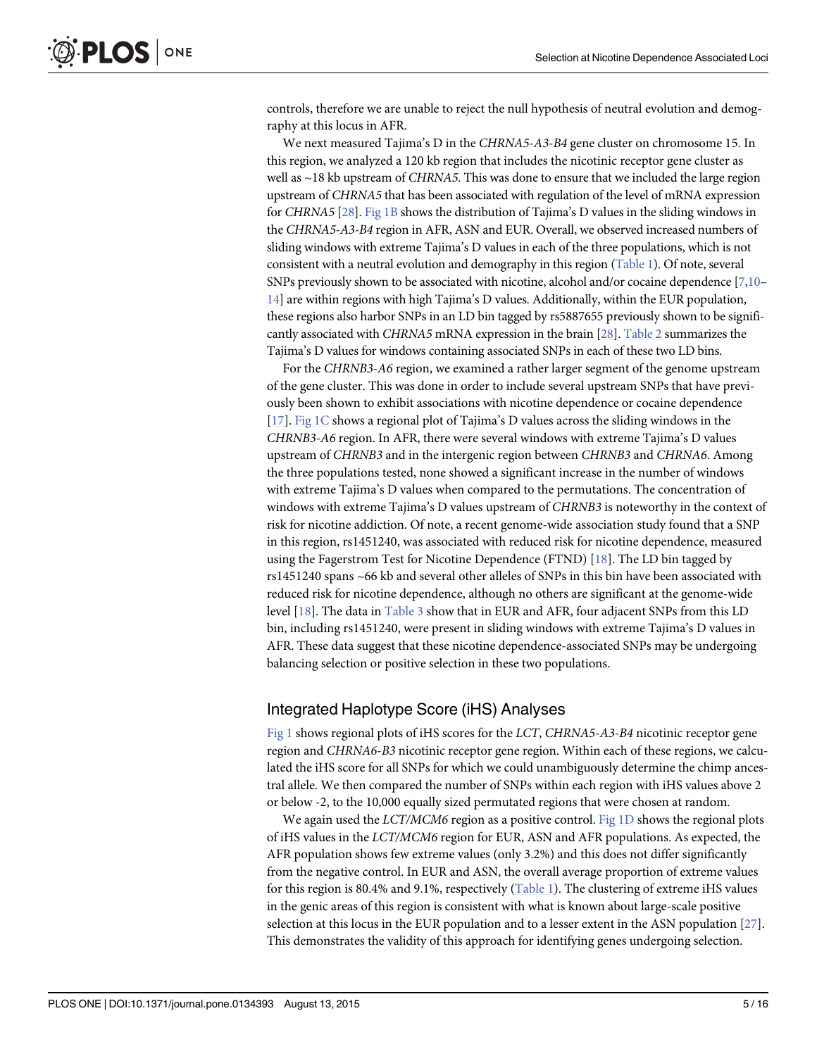<span id="page-4-0"></span>controls, therefore we are unable to reject the null hypothesis of neutral evolution and demography at this locus in AFR.

We next measured Tajima's D in the CHRNA5-A3-B4 gene cluster on chromosome 15. In this region, we analyzed a 120 kb region that includes the nicotinic receptor gene cluster as well as  $\sim$ 18 kb upstream of *CHRNA5*. This was done to ensure that we included the large region upstream of CHRNA5 that has been associated with regulation of the level of mRNA expression for CHRNA5 [\[28\]](#page-15-0). [Fig 1B](#page-3-0) shows the distribution of Tajima's D values in the sliding windows in the CHRNA5-A3-B4 region in AFR, ASN and EUR. Overall, we observed increased numbers of sliding windows with extreme Tajima's D values in each of the three populations, which is not consistent with a neutral evolution and demography in this region [\(Table 1\)](#page-3-0). Of note, several SNPs previously shown to be associated with nicotine, alcohol and/or cocaine dependence [[7](#page-14-0),[10](#page-14-0)– [14](#page-14-0)] are within regions with high Tajima's D values. Additionally, within the EUR population, these regions also harbor SNPs in an LD bin tagged by rs5887655 previously shown to be significantly associated with CHRNA5 mRNA expression in the brain [\[28\]](#page-15-0). [Table 2](#page-5-0) summarizes the Tajima's D values for windows containing associated SNPs in each of these two LD bins.

For the CHRNB3-A6 region, we examined a rather larger segment of the genome upstream of the gene cluster. This was done in order to include several upstream SNPs that have previously been shown to exhibit associations with nicotine dependence or cocaine dependence [\[17](#page-14-0)]. [Fig 1C](#page-3-0) shows a regional plot of Tajima's D values across the sliding windows in the CHRNB3-A6 region. In AFR, there were several windows with extreme Tajima's D values upstream of CHRNB3 and in the intergenic region between CHRNB3 and CHRNA6. Among the three populations tested, none showed a significant increase in the number of windows with extreme Tajima's D values when compared to the permutations. The concentration of windows with extreme Tajima's D values upstream of CHRNB3 is noteworthy in the context of risk for nicotine addiction. Of note, a recent genome-wide association study found that a SNP in this region, rs1451240, was associated with reduced risk for nicotine dependence, measured using the Fagerstrom Test for Nicotine Dependence (FTND) [[18](#page-14-0)]. The LD bin tagged by rs1451240 spans ~66 kb and several other alleles of SNPs in this bin have been associated with reduced risk for nicotine dependence, although no others are significant at the genome-wide level [[18](#page-14-0)]. The data in [Table 3](#page-6-0) show that in EUR and AFR, four adjacent SNPs from this LD bin, including rs1451240, were present in sliding windows with extreme Tajima's D values in AFR. These data suggest that these nicotine dependence-associated SNPs may be undergoing balancing selection or positive selection in these two populations.

## Integrated Haplotype Score (iHS) Analyses

[Fig 1](#page-3-0) shows regional plots of iHS scores for the LCT, CHRNA5-A3-B4 nicotinic receptor gene region and CHRNA6-B3 nicotinic receptor gene region. Within each of these regions, we calculated the iHS score for all SNPs for which we could unambiguously determine the chimp ancestral allele. We then compared the number of SNPs within each region with iHS values above 2 or below -2, to the 10,000 equally sized permutated regions that were chosen at random.

We again used the  $LCT/MC\text{ of region}$  as a positive control. [Fig 1D](#page-3-0) shows the regional plots of iHS values in the LCT/MCM6 region for EUR, ASN and AFR populations. As expected, the AFR population shows few extreme values (only 3.2%) and this does not differ significantly from the negative control. In EUR and ASN, the overall average proportion of extreme values for this region is 80.4% and 9.1%, respectively ([Table 1](#page-3-0)). The clustering of extreme iHS values in the genic areas of this region is consistent with what is known about large-scale positive selection at this locus in the EUR population and to a lesser extent in the ASN population  $[27]$ . This demonstrates the validity of this approach for identifying genes undergoing selection.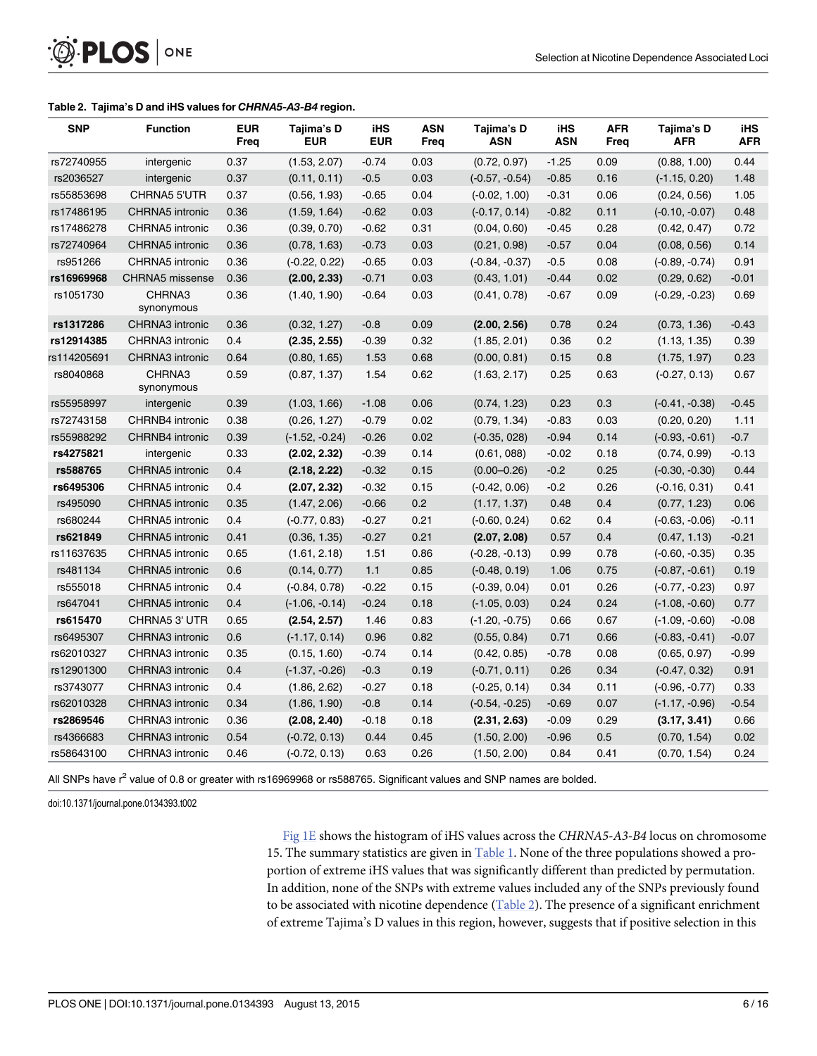#### <span id="page-5-0"></span>[Table 2.](#page-4-0) Tajima's D and iHS values for CHRNA5-A3-B4 region.

| <b>SNP</b>  | <b>Function</b>        | <b>EUR</b><br>Freq | Tajima's D<br><b>EUR</b> | iHS<br><b>EUR</b> | <b>ASN</b><br>Freq | Tajima's D<br><b>ASN</b> | <b>iHS</b><br>ASN | <b>AFR</b><br>Freq | Tajima's D<br><b>AFR</b> | iHS<br><b>AFR</b> |
|-------------|------------------------|--------------------|--------------------------|-------------------|--------------------|--------------------------|-------------------|--------------------|--------------------------|-------------------|
| rs72740955  | intergenic             | 0.37               | (1.53, 2.07)             | $-0.74$           | 0.03               | (0.72, 0.97)             | $-1.25$           | 0.09               | (0.88, 1.00)             | 0.44              |
| rs2036527   | intergenic             | 0.37               | (0.11, 0.11)             | $-0.5$            | 0.03               | $(-0.57, -0.54)$         | $-0.85$           | 0.16               | $(-1.15, 0.20)$          | 1.48              |
| rs55853698  | CHRNA5 5'UTR           | 0.37               | (0.56, 1.93)             | $-0.65$           | 0.04               | $(-0.02, 1.00)$          | $-0.31$           | 0.06               | (0.24, 0.56)             | 1.05              |
| rs17486195  | <b>CHRNA5</b> intronic | 0.36               | (1.59, 1.64)             | $-0.62$           | 0.03               | $(-0.17, 0.14)$          | $-0.82$           | 0.11               | $(-0.10, -0.07)$         | 0.48              |
| rs17486278  | CHRNA5 intronic        | 0.36               | (0.39, 0.70)             | $-0.62$           | 0.31               | (0.04, 0.60)             | $-0.45$           | 0.28               | (0.42, 0.47)             | 0.72              |
| rs72740964  | <b>CHRNA5</b> intronic | 0.36               | (0.78, 1.63)             | $-0.73$           | 0.03               | (0.21, 0.98)             | $-0.57$           | 0.04               | (0.08, 0.56)             | 0.14              |
| rs951266    | <b>CHRNA5</b> intronic | 0.36               | $(-0.22, 0.22)$          | $-0.65$           | 0.03               | $(-0.84, -0.37)$         | $-0.5$            | 0.08               | $(-0.89, -0.74)$         | 0.91              |
| rs16969968  | CHRNA5 missense        | 0.36               | (2.00, 2.33)             | $-0.71$           | 0.03               | (0.43, 1.01)             | $-0.44$           | 0.02               | (0.29, 0.62)             | $-0.01$           |
| rs1051730   | CHRNA3<br>synonymous   | 0.36               | (1.40, 1.90)             | $-0.64$           | 0.03               | (0.41, 0.78)             | $-0.67$           | 0.09               | $(-0.29, -0.23)$         | 0.69              |
| rs1317286   | CHRNA3 intronic        | 0.36               | (0.32, 1.27)             | $-0.8$            | 0.09               | (2.00, 2.56)             | 0.78              | 0.24               | (0.73, 1.36)             | $-0.43$           |
| rs12914385  | CHRNA3 intronic        | 0.4                | (2.35, 2.55)             | $-0.39$           | 0.32               | (1.85, 2.01)             | 0.36              | 0.2                | (1.13, 1.35)             | 0.39              |
| rs114205691 | CHRNA3 intronic        | 0.64               | (0.80, 1.65)             | 1.53              | 0.68               | (0.00, 0.81)             | 0.15              | 0.8                | (1.75, 1.97)             | 0.23              |
| rs8040868   | CHRNA3<br>synonymous   | 0.59               | (0.87, 1.37)             | 1.54              | 0.62               | (1.63, 2.17)             | 0.25              | 0.63               | $(-0.27, 0.13)$          | 0.67              |
| rs55958997  | intergenic             | 0.39               | (1.03, 1.66)             | $-1.08$           | 0.06               | (0.74, 1.23)             | 0.23              | 0.3                | $(-0.41, -0.38)$         | $-0.45$           |
| rs72743158  | CHRNB4 intronic        | 0.38               | (0.26, 1.27)             | $-0.79$           | 0.02               | (0.79, 1.34)             | $-0.83$           | 0.03               | (0.20, 0.20)             | 1.11              |
| rs55988292  | <b>CHRNB4</b> intronic | 0.39               | $(-1.52, -0.24)$         | $-0.26$           | 0.02               | $(-0.35, 028)$           | $-0.94$           | 0.14               | $(-0.93, -0.61)$         | $-0.7$            |
| rs4275821   | intergenic             | 0.33               | (2.02, 2.32)             | $-0.39$           | 0.14               | (0.61, 088)              | $-0.02$           | 0.18               | (0.74, 0.99)             | $-0.13$           |
| rs588765    | <b>CHRNA5</b> intronic | 0.4                | (2.18, 2.22)             | $-0.32$           | 0.15               | $(0.00 - 0.26)$          | $-0.2$            | 0.25               | $(-0.30, -0.30)$         | 0.44              |
| rs6495306   | CHRNA5 intronic        | 0.4                | (2.07, 2.32)             | $-0.32$           | 0.15               | $(-0.42, 0.06)$          | $-0.2$            | 0.26               | $(-0.16, 0.31)$          | 0.41              |
| rs495090    | <b>CHRNA5</b> intronic | 0.35               | (1.47, 2.06)             | $-0.66$           | 0.2                | (1.17, 1.37)             | 0.48              | 0.4                | (0.77, 1.23)             | 0.06              |
| rs680244    | CHRNA5 intronic        | 0.4                | $(-0.77, 0.83)$          | $-0.27$           | 0.21               | $(-0.60, 0.24)$          | 0.62              | 0.4                | $(-0.63, -0.06)$         | $-0.11$           |
| rs621849    | CHRNA5 intronic        | 0.41               | (0.36, 1.35)             | $-0.27$           | 0.21               | (2.07, 2.08)             | 0.57              | 0.4                | (0.47, 1.13)             | $-0.21$           |
| rs11637635  | CHRNA5 intronic        | 0.65               | (1.61, 2.18)             | 1.51              | 0.86               | $(-0.28, -0.13)$         | 0.99              | 0.78               | $(-0.60, -0.35)$         | 0.35              |
| rs481134    | CHRNA5 intronic        | 0.6                | (0.14, 0.77)             | 1.1               | 0.85               | $(-0.48, 0.19)$          | 1.06              | 0.75               | $(-0.87, -0.61)$         | 0.19              |
| rs555018    | CHRNA5 intronic        | 0.4                | $(-0.84, 0.78)$          | $-0.22$           | 0.15               | $(-0.39, 0.04)$          | 0.01              | 0.26               | $(-0.77, -0.23)$         | 0.97              |
| rs647041    | CHRNA5 intronic        | 0.4                | $(-1.06, -0.14)$         | $-0.24$           | 0.18               | $(-1.05, 0.03)$          | 0.24              | 0.24               | $(-1.08, -0.60)$         | 0.77              |
| rs615470    | CHRNA5 3' UTR          | 0.65               | (2.54, 2.57)             | 1.46              | 0.83               | $(-1.20, -0.75)$         | 0.66              | 0.67               | $(-1.09, -0.60)$         | $-0.08$           |
| rs6495307   | CHRNA3 intronic        | 0.6                | $(-1.17, 0.14)$          | 0.96              | 0.82               | (0.55, 0.84)             | 0.71              | 0.66               | $(-0.83, -0.41)$         | $-0.07$           |
| rs62010327  | CHRNA3 intronic        | 0.35               | (0.15, 1.60)             | $-0.74$           | 0.14               | (0.42, 0.85)             | $-0.78$           | 0.08               | (0.65, 0.97)             | $-0.99$           |
| rs12901300  | CHRNA3 intronic        | 0.4                | $(-1.37, -0.26)$         | $-0.3$            | 0.19               | $(-0.71, 0.11)$          | 0.26              | 0.34               | $(-0.47, 0.32)$          | 0.91              |
| rs3743077   | CHRNA3 intronic        | 0.4                | (1.86, 2.62)             | $-0.27$           | 0.18               | $(-0.25, 0.14)$          | 0.34              | 0.11               | $(-0.96, -0.77)$         | 0.33              |
| rs62010328  | CHRNA3 intronic        | 0.34               | (1.86, 1.90)             | $-0.8$            | 0.14               | $(-0.54, -0.25)$         | $-0.69$           | 0.07               | $(-1.17, -0.96)$         | $-0.54$           |
| rs2869546   | CHRNA3 intronic        | 0.36               | (2.08, 2.40)             | $-0.18$           | 0.18               | (2.31, 2.63)             | $-0.09$           | 0.29               | (3.17, 3.41)             | 0.66              |
| rs4366683   | CHRNA3 intronic        | 0.54               | $(-0.72, 0.13)$          | 0.44              | 0.45               | (1.50, 2.00)             | $-0.96$           | 0.5                | (0.70, 1.54)             | 0.02              |
| rs58643100  | CHRNA3 intronic        | 0.46               | $(-0.72, 0.13)$          | 0.63              | 0.26               | (1.50, 2.00)             | 0.84              | 0.41               | (0.70, 1.54)             | 0.24              |

All SNPs have r<sup>2</sup> value of 0.8 or greater with rs16969968 or rs588765. Significant values and SNP names are bolded.

doi:10.1371/journal.pone.0134393.t002

[Fig 1E](#page-3-0) shows the histogram of iHS values across the CHRNA5-A3-B4 locus on chromosome 15. The summary statistics are given in [Table 1](#page-3-0). None of the three populations showed a proportion of extreme iHS values that was significantly different than predicted by permutation. In addition, none of the SNPs with extreme values included any of the SNPs previously found to be associated with nicotine dependence  $(Table 2)$ . The presence of a significant enrichment of extreme Tajima's D values in this region, however, suggests that if positive selection in this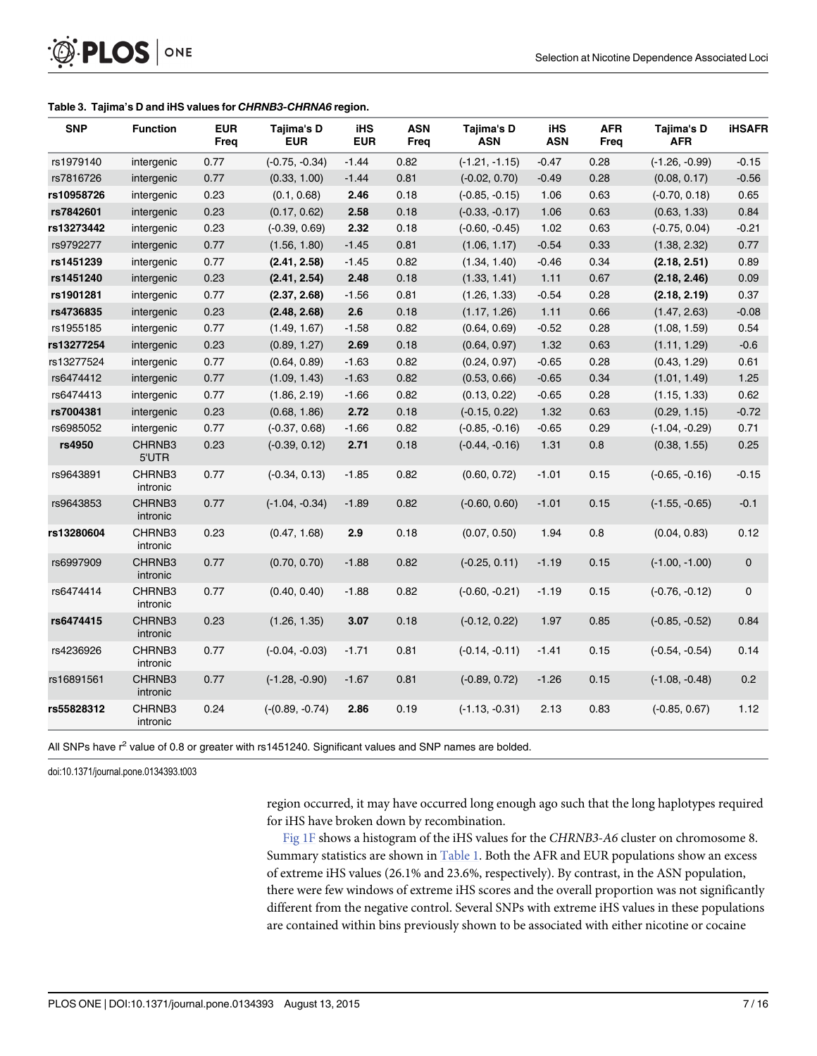#### <span id="page-6-0"></span>[Table 3.](#page-4-0) Tajima's D and iHS values for CHRNB3-CHRNA6 region.

| <b>SNP</b> | <b>Function</b>                | <b>EUR</b><br>Freq | Tajima's D<br><b>EUR</b> | iHS<br><b>EUR</b> | <b>ASN</b><br>Freq | Tajima's D<br><b>ASN</b> | <b>iHS</b><br><b>ASN</b> | <b>AFR</b><br>Freq | Tajima's D<br><b>AFR</b> | <b>IHSAFR</b> |
|------------|--------------------------------|--------------------|--------------------------|-------------------|--------------------|--------------------------|--------------------------|--------------------|--------------------------|---------------|
| rs1979140  | intergenic                     | 0.77               | $(-0.75, -0.34)$         | $-1.44$           | 0.82               | $(-1.21, -1.15)$         | $-0.47$                  | 0.28               | $(-1.26, -0.99)$         | $-0.15$       |
| rs7816726  | intergenic                     | 0.77               | (0.33, 1.00)             | $-1.44$           | 0.81               | $(-0.02, 0.70)$          | -0.49                    | 0.28               | (0.08, 0.17)             | $-0.56$       |
| rs10958726 | intergenic                     | 0.23               | (0.1, 0.68)              | 2.46              | 0.18               | $(-0.85, -0.15)$         | 1.06                     | 0.63               | $(-0.70, 0.18)$          | 0.65          |
| rs7842601  | intergenic                     | 0.23               | (0.17, 0.62)             | 2.58              | 0.18               | $(-0.33, -0.17)$         | 1.06                     | 0.63               | (0.63, 1.33)             | 0.84          |
| rs13273442 | intergenic                     | 0.23               | $(-0.39, 0.69)$          | 2.32              | 0.18               | $(-0.60, -0.45)$         | 1.02                     | 0.63               | $(-0.75, 0.04)$          | $-0.21$       |
| rs9792277  | intergenic                     | 0.77               | (1.56, 1.80)             | $-1.45$           | 0.81               | (1.06, 1.17)             | $-0.54$                  | 0.33               | (1.38, 2.32)             | 0.77          |
| rs1451239  | intergenic                     | 0.77               | (2.41, 2.58)             | $-1.45$           | 0.82               | (1.34, 1.40)             | $-0.46$                  | 0.34               | (2.18, 2.51)             | 0.89          |
| rs1451240  | intergenic                     | 0.23               | (2.41, 2.54)             | 2.48              | 0.18               | (1.33, 1.41)             | 1.11                     | 0.67               | (2.18, 2.46)             | 0.09          |
| rs1901281  | intergenic                     | 0.77               | (2.37, 2.68)             | $-1.56$           | 0.81               | (1.26, 1.33)             | $-0.54$                  | 0.28               | (2.18, 2.19)             | 0.37          |
| rs4736835  | intergenic                     | 0.23               | (2.48, 2.68)             | 2.6               | 0.18               | (1.17, 1.26)             | 1.11                     | 0.66               | (1.47, 2.63)             | $-0.08$       |
| rs1955185  | intergenic                     | 0.77               | (1.49, 1.67)             | $-1.58$           | 0.82               | (0.64, 0.69)             | $-0.52$                  | 0.28               | (1.08, 1.59)             | 0.54          |
| rs13277254 | intergenic                     | 0.23               | (0.89, 1.27)             | 2.69              | 0.18               | (0.64, 0.97)             | 1.32                     | 0.63               | (1.11, 1.29)             | $-0.6$        |
| rs13277524 | intergenic                     | 0.77               | (0.64, 0.89)             | $-1.63$           | 0.82               | (0.24, 0.97)             | $-0.65$                  | 0.28               | (0.43, 1.29)             | 0.61          |
| rs6474412  | intergenic                     | 0.77               | (1.09, 1.43)             | $-1.63$           | 0.82               | (0.53, 0.66)             | $-0.65$                  | 0.34               | (1.01, 1.49)             | 1.25          |
| rs6474413  | intergenic                     | 0.77               | (1.86, 2.19)             | $-1.66$           | 0.82               | (0.13, 0.22)             | $-0.65$                  | 0.28               | (1.15, 1.33)             | 0.62          |
| rs7004381  | intergenic                     | 0.23               | (0.68, 1.86)             | 2.72              | 0.18               | $(-0.15, 0.22)$          | 1.32                     | 0.63               | (0.29, 1.15)             | $-0.72$       |
| rs6985052  | intergenic                     | 0.77               | $(-0.37, 0.68)$          | $-1.66$           | 0.82               | $(-0.85, -0.16)$         | $-0.65$                  | 0.29               | $(-1.04, -0.29)$         | 0.71          |
| rs4950     | CHRNB3<br>5'UTR                | 0.23               | $(-0.39, 0.12)$          | 2.71              | 0.18               | $(-0.44, -0.16)$         | 1.31                     | 0.8                | (0.38, 1.55)             | 0.25          |
| rs9643891  | CHRNB3<br>intronic             | 0.77               | $(-0.34, 0.13)$          | $-1.85$           | 0.82               | (0.60, 0.72)             | $-1.01$                  | 0.15               | $(-0.65, -0.16)$         | $-0.15$       |
| rs9643853  | CHRNB3<br>intronic             | 0.77               | $(-1.04, -0.34)$         | $-1.89$           | 0.82               | $(-0.60, 0.60)$          | $-1.01$                  | 0.15               | $(-1.55, -0.65)$         | $-0.1$        |
| rs13280604 | CHRNB3<br>intronic             | 0.23               | (0.47, 1.68)             | 2.9               | 0.18               | (0.07, 0.50)             | 1.94                     | 0.8                | (0.04, 0.83)             | 0.12          |
| rs6997909  | CHRNB3<br>intronic             | 0.77               | (0.70, 0.70)             | $-1.88$           | 0.82               | $(-0.25, 0.11)$          | $-1.19$                  | 0.15               | $(-1.00, -1.00)$         | $\mathbf 0$   |
| rs6474414  | CHRNB3<br>intronic             | 0.77               | (0.40, 0.40)             | $-1.88$           | 0.82               | $(-0.60, -0.21)$         | $-1.19$                  | 0.15               | $(-0.76, -0.12)$         | $\mathbf 0$   |
| rs6474415  | CHRNB <sub>3</sub><br>intronic | 0.23               | (1.26, 1.35)             | 3.07              | 0.18               | $(-0.12, 0.22)$          | 1.97                     | 0.85               | $(-0.85, -0.52)$         | 0.84          |
| rs4236926  | CHRNB3<br>intronic             | 0.77               | $(-0.04, -0.03)$         | $-1.71$           | 0.81               | $(-0.14, -0.11)$         | $-1.41$                  | 0.15               | $(-0.54, -0.54)$         | 0.14          |
| rs16891561 | CHRNB3<br>intronic             | 0.77               | $(-1.28, -0.90)$         | $-1.67$           | 0.81               | $(-0.89, 0.72)$          | $-1.26$                  | 0.15               | $(-1.08, -0.48)$         | 0.2           |
| rs55828312 | CHRNB3<br>intronic             | 0.24               | $(- (0.89, -0.74))$      | 2.86              | 0.19               | $(-1.13, -0.31)$         | 2.13                     | 0.83               | $(-0.85, 0.67)$          | 1.12          |

All SNPs have  $r^2$  value of 0.8 or greater with rs1451240. Significant values and SNP names are bolded.

doi:10.1371/journal.pone.0134393.t003

region occurred, it may have occurred long enough ago such that the long haplotypes required for iHS have broken down by recombination.

[Fig 1F](#page-3-0) shows a histogram of the iHS values for the CHRNB3-A6 cluster on chromosome 8. Summary statistics are shown in  $Table 1$ . Both the AFR and EUR populations show an excess of extreme iHS values (26.1% and 23.6%, respectively). By contrast, in the ASN population, there were few windows of extreme iHS scores and the overall proportion was not significantly different from the negative control. Several SNPs with extreme iHS values in these populations are contained within bins previously shown to be associated with either nicotine or cocaine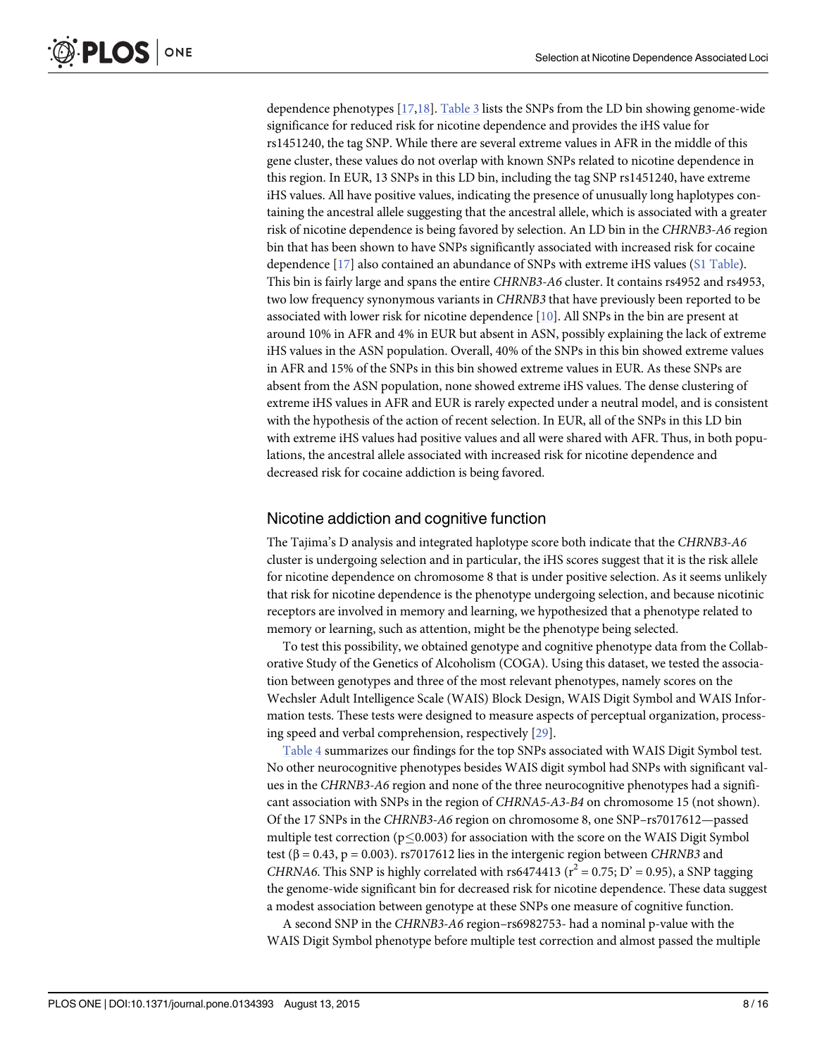<span id="page-7-0"></span>dependence phenotypes  $[17,18]$  $[17,18]$  $[17,18]$ . [Table 3](#page-6-0) lists the SNPs from the LD bin showing genome-wide significance for reduced risk for nicotine dependence and provides the iHS value for rs1451240, the tag SNP. While there are several extreme values in AFR in the middle of this gene cluster, these values do not overlap with known SNPs related to nicotine dependence in this region. In EUR, 13 SNPs in this LD bin, including the tag SNP rs1451240, have extreme iHS values. All have positive values, indicating the presence of unusually long haplotypes containing the ancestral allele suggesting that the ancestral allele, which is associated with a greater risk of nicotine dependence is being favored by selection. An LD bin in the CHRNB3-A6 region bin that has been shown to have SNPs significantly associated with increased risk for cocaine dependence  $[17]$  $[17]$  also contained an abundance of SNPs with extreme iHS values ( $S1$  Table). This bin is fairly large and spans the entire CHRNB3-A6 cluster. It contains rs4952 and rs4953, two low frequency synonymous variants in CHRNB3 that have previously been reported to be associated with lower risk for nicotine dependence [\[10\]](#page-14-0). All SNPs in the bin are present at around 10% in AFR and 4% in EUR but absent in ASN, possibly explaining the lack of extreme iHS values in the ASN population. Overall, 40% of the SNPs in this bin showed extreme values in AFR and 15% of the SNPs in this bin showed extreme values in EUR. As these SNPs are absent from the ASN population, none showed extreme iHS values. The dense clustering of extreme iHS values in AFR and EUR is rarely expected under a neutral model, and is consistent with the hypothesis of the action of recent selection. In EUR, all of the SNPs in this LD bin with extreme iHS values had positive values and all were shared with AFR. Thus, in both populations, the ancestral allele associated with increased risk for nicotine dependence and decreased risk for cocaine addiction is being favored.

#### Nicotine addiction and cognitive function

The Tajima's D analysis and integrated haplotype score both indicate that the CHRNB3-A6 cluster is undergoing selection and in particular, the iHS scores suggest that it is the risk allele for nicotine dependence on chromosome 8 that is under positive selection. As it seems unlikely that risk for nicotine dependence is the phenotype undergoing selection, and because nicotinic receptors are involved in memory and learning, we hypothesized that a phenotype related to memory or learning, such as attention, might be the phenotype being selected.

To test this possibility, we obtained genotype and cognitive phenotype data from the Collaborative Study of the Genetics of Alcoholism (COGA). Using this dataset, we tested the association between genotypes and three of the most relevant phenotypes, namely scores on the Wechsler Adult Intelligence Scale (WAIS) Block Design, WAIS Digit Symbol and WAIS Information tests. These tests were designed to measure aspects of perceptual organization, processing speed and verbal comprehension, respectively [[29](#page-15-0)].

[Table 4](#page-8-0) summarizes our findings for the top SNPs associated with WAIS Digit Symbol test. No other neurocognitive phenotypes besides WAIS digit symbol had SNPs with significant values in the CHRNB3-A6 region and none of the three neurocognitive phenotypes had a significant association with SNPs in the region of CHRNA5-A3-B4 on chromosome 15 (not shown). Of the 17 SNPs in the CHRNB3-A6 region on chromosome 8, one SNP–rs7017612—passed multiple test correction ( $p \le 0.003$ ) for association with the score on the WAIS Digit Symbol test ( $\beta$  = 0.43, p = 0.003). rs7017612 lies in the intergenic region between *CHRNB3* and CHRNA6. This SNP is highly correlated with rs6474413 ( $r^2 = 0.75$ ; D' = 0.95), a SNP tagging the genome-wide significant bin for decreased risk for nicotine dependence. These data suggest a modest association between genotype at these SNPs one measure of cognitive function.

A second SNP in the CHRNB3-A6 region–rs6982753- had a nominal p-value with the WAIS Digit Symbol phenotype before multiple test correction and almost passed the multiple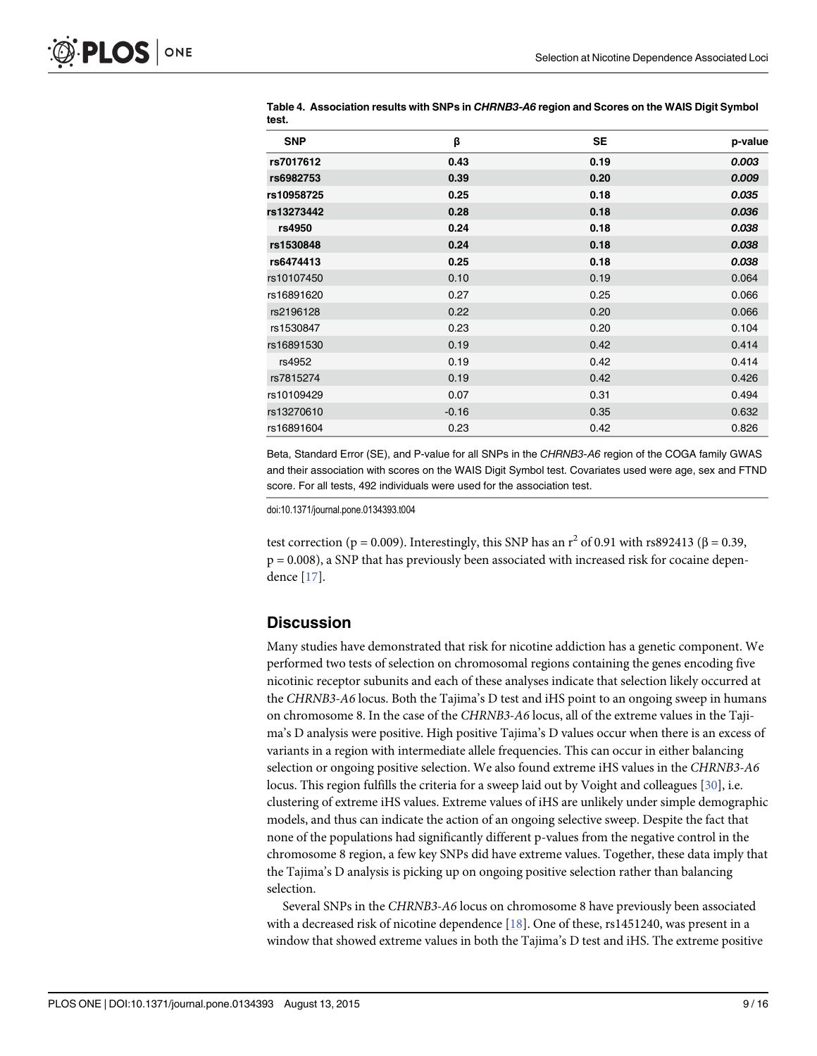| <b>SNP</b> | β       | <b>SE</b> | p-value |
|------------|---------|-----------|---------|
| rs7017612  | 0.43    | 0.19      | 0.003   |
| rs6982753  | 0.39    | 0.20      | 0.009   |
| rs10958725 | 0.25    | 0.18      | 0.035   |
| rs13273442 | 0.28    | 0.18      | 0.036   |
| rs4950     | 0.24    | 0.18      | 0.038   |
| rs1530848  | 0.24    | 0.18      | 0.038   |
| rs6474413  | 0.25    | 0.18      | 0.038   |
| rs10107450 | 0.10    | 0.19      | 0.064   |
| rs16891620 | 0.27    | 0.25      | 0.066   |
| rs2196128  | 0.22    | 0.20      | 0.066   |
| rs1530847  | 0.23    | 0.20      | 0.104   |
| rs16891530 | 0.19    | 0.42      | 0.414   |
| rs4952     | 0.19    | 0.42      | 0.414   |
| rs7815274  | 0.19    | 0.42      | 0.426   |
| rs10109429 | 0.07    | 0.31      | 0.494   |
| rs13270610 | $-0.16$ | 0.35      | 0.632   |
| rs16891604 | 0.23    | 0.42      | 0.826   |

<span id="page-8-0"></span>[Table 4.](#page-7-0) Association results with SNPs in CHRNB3-A6 region and Scores on the WAIS Digit Symbol test.

Beta, Standard Error (SE), and P-value for all SNPs in the CHRNB3-A6 region of the COGA family GWAS and their association with scores on the WAIS Digit Symbol test. Covariates used were age, sex and FTND score. For all tests, 492 individuals were used for the association test.

doi:10.1371/journal.pone.0134393.t004

test correction (p = 0.009). Interestingly, this SNP has an  $r^2$  of 0.91 with rs892413 (β = 0.39,  $p = 0.008$ ), a SNP that has previously been associated with increased risk for cocaine dependence [[17](#page-14-0)].

#### **Discussion**

Many studies have demonstrated that risk for nicotine addiction has a genetic component. We performed two tests of selection on chromosomal regions containing the genes encoding five nicotinic receptor subunits and each of these analyses indicate that selection likely occurred at the CHRNB3-A6 locus. Both the Tajima's D test and iHS point to an ongoing sweep in humans on chromosome 8. In the case of the CHRNB3-A6 locus, all of the extreme values in the Tajima's D analysis were positive. High positive Tajima's D values occur when there is an excess of variants in a region with intermediate allele frequencies. This can occur in either balancing selection or ongoing positive selection. We also found extreme iHS values in the CHRNB3-A6 locus. This region fulfills the criteria for a sweep laid out by Voight and colleagues [\[30\]](#page-15-0), i.e. clustering of extreme iHS values. Extreme values of iHS are unlikely under simple demographic models, and thus can indicate the action of an ongoing selective sweep. Despite the fact that none of the populations had significantly different p-values from the negative control in the chromosome 8 region, a few key SNPs did have extreme values. Together, these data imply that the Tajima's D analysis is picking up on ongoing positive selection rather than balancing selection.

Several SNPs in the CHRNB3-A6 locus on chromosome 8 have previously been associated with a decreased risk of nicotine dependence  $[18]$ . One of these, rs1451240, was present in a window that showed extreme values in both the Tajima's D test and iHS. The extreme positive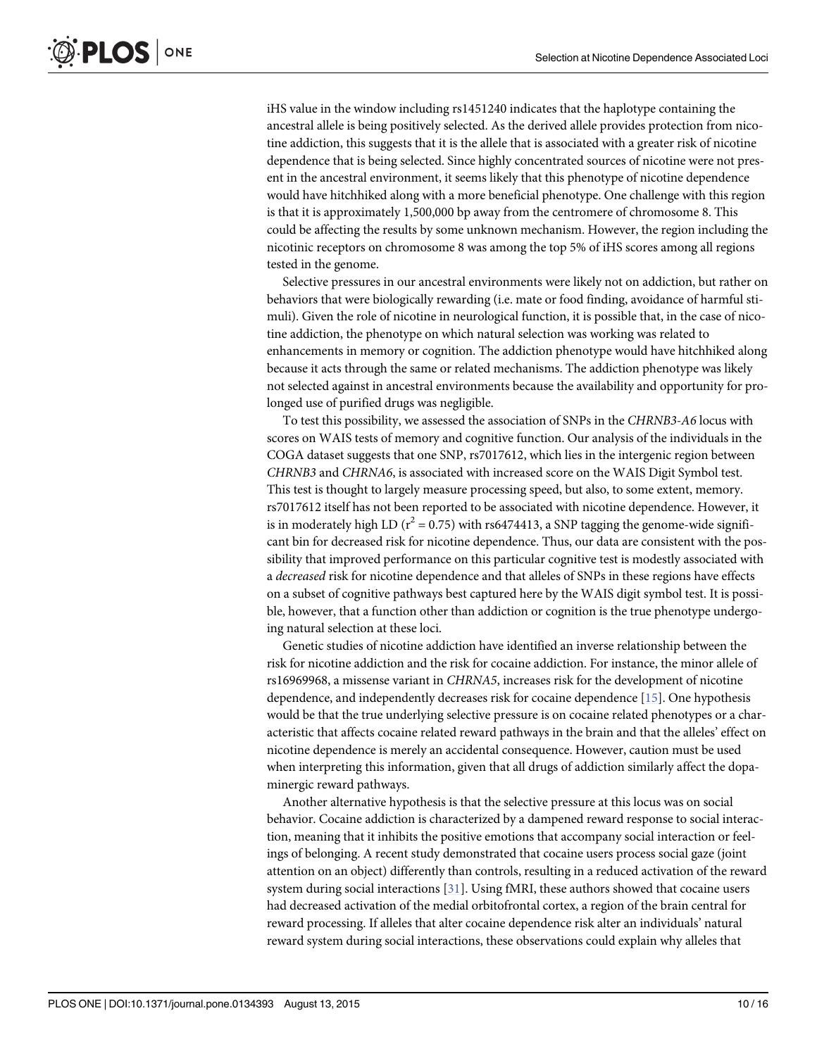<span id="page-9-0"></span>iHS value in the window including rs1451240 indicates that the haplotype containing the ancestral allele is being positively selected. As the derived allele provides protection from nicotine addiction, this suggests that it is the allele that is associated with a greater risk of nicotine dependence that is being selected. Since highly concentrated sources of nicotine were not present in the ancestral environment, it seems likely that this phenotype of nicotine dependence would have hitchhiked along with a more beneficial phenotype. One challenge with this region is that it is approximately 1,500,000 bp away from the centromere of chromosome 8. This could be affecting the results by some unknown mechanism. However, the region including the nicotinic receptors on chromosome 8 was among the top 5% of iHS scores among all regions tested in the genome.

Selective pressures in our ancestral environments were likely not on addiction, but rather on behaviors that were biologically rewarding (i.e. mate or food finding, avoidance of harmful stimuli). Given the role of nicotine in neurological function, it is possible that, in the case of nicotine addiction, the phenotype on which natural selection was working was related to enhancements in memory or cognition. The addiction phenotype would have hitchhiked along because it acts through the same or related mechanisms. The addiction phenotype was likely not selected against in ancestral environments because the availability and opportunity for prolonged use of purified drugs was negligible.

To test this possibility, we assessed the association of SNPs in the CHRNB3-A6 locus with scores on WAIS tests of memory and cognitive function. Our analysis of the individuals in the COGA dataset suggests that one SNP, rs7017612, which lies in the intergenic region between CHRNB3 and CHRNA6, is associated with increased score on the WAIS Digit Symbol test. This test is thought to largely measure processing speed, but also, to some extent, memory. rs7017612 itself has not been reported to be associated with nicotine dependence. However, it is in moderately high LD ( $r^2 = 0.75$ ) with rs6474413, a SNP tagging the genome-wide significant bin for decreased risk for nicotine dependence. Thus, our data are consistent with the possibility that improved performance on this particular cognitive test is modestly associated with a decreased risk for nicotine dependence and that alleles of SNPs in these regions have effects on a subset of cognitive pathways best captured here by the WAIS digit symbol test. It is possible, however, that a function other than addiction or cognition is the true phenotype undergoing natural selection at these loci.

Genetic studies of nicotine addiction have identified an inverse relationship between the risk for nicotine addiction and the risk for cocaine addiction. For instance, the minor allele of rs16969968, a missense variant in CHRNA5, increases risk for the development of nicotine dependence, and independently decreases risk for cocaine dependence [[15](#page-14-0)]. One hypothesis would be that the true underlying selective pressure is on cocaine related phenotypes or a characteristic that affects cocaine related reward pathways in the brain and that the alleles' effect on nicotine dependence is merely an accidental consequence. However, caution must be used when interpreting this information, given that all drugs of addiction similarly affect the dopaminergic reward pathways.

Another alternative hypothesis is that the selective pressure at this locus was on social behavior. Cocaine addiction is characterized by a dampened reward response to social interaction, meaning that it inhibits the positive emotions that accompany social interaction or feelings of belonging. A recent study demonstrated that cocaine users process social gaze (joint attention on an object) differently than controls, resulting in a reduced activation of the reward system during social interactions [[31](#page-15-0)]. Using fMRI, these authors showed that cocaine users had decreased activation of the medial orbitofrontal cortex, a region of the brain central for reward processing. If alleles that alter cocaine dependence risk alter an individuals' natural reward system during social interactions, these observations could explain why alleles that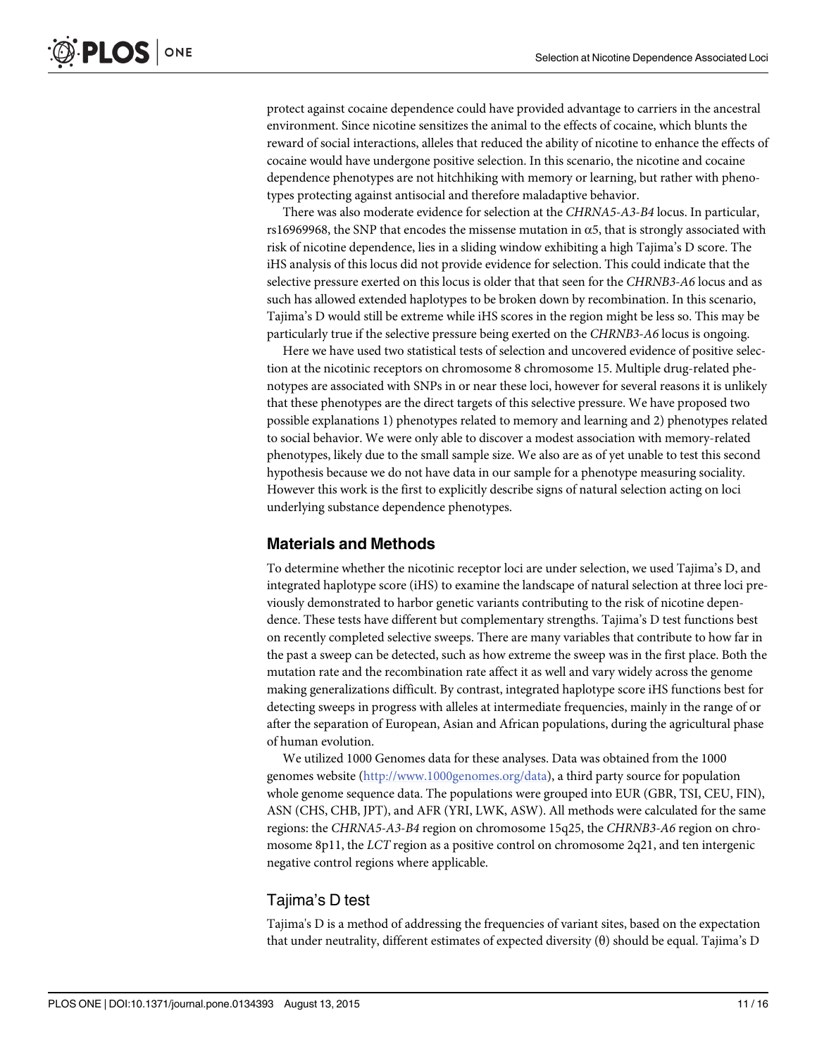protect against cocaine dependence could have provided advantage to carriers in the ancestral environment. Since nicotine sensitizes the animal to the effects of cocaine, which blunts the reward of social interactions, alleles that reduced the ability of nicotine to enhance the effects of cocaine would have undergone positive selection. In this scenario, the nicotine and cocaine dependence phenotypes are not hitchhiking with memory or learning, but rather with phenotypes protecting against antisocial and therefore maladaptive behavior.

There was also moderate evidence for selection at the CHRNA5-A3-B4 locus. In particular, rs16969968, the SNP that encodes the missense mutation in  $\alpha$ 5, that is strongly associated with risk of nicotine dependence, lies in a sliding window exhibiting a high Tajima's D score. The iHS analysis of this locus did not provide evidence for selection. This could indicate that the selective pressure exerted on this locus is older that that seen for the CHRNB3-A6 locus and as such has allowed extended haplotypes to be broken down by recombination. In this scenario, Tajima's D would still be extreme while iHS scores in the region might be less so. This may be particularly true if the selective pressure being exerted on the CHRNB3-A6 locus is ongoing.

Here we have used two statistical tests of selection and uncovered evidence of positive selection at the nicotinic receptors on chromosome 8 chromosome 15. Multiple drug-related phenotypes are associated with SNPs in or near these loci, however for several reasons it is unlikely that these phenotypes are the direct targets of this selective pressure. We have proposed two possible explanations 1) phenotypes related to memory and learning and 2) phenotypes related to social behavior. We were only able to discover a modest association with memory-related phenotypes, likely due to the small sample size. We also are as of yet unable to test this second hypothesis because we do not have data in our sample for a phenotype measuring sociality. However this work is the first to explicitly describe signs of natural selection acting on loci underlying substance dependence phenotypes.

#### Materials and Methods

To determine whether the nicotinic receptor loci are under selection, we used Tajima's D, and integrated haplotype score (iHS) to examine the landscape of natural selection at three loci previously demonstrated to harbor genetic variants contributing to the risk of nicotine dependence. These tests have different but complementary strengths. Tajima's D test functions best on recently completed selective sweeps. There are many variables that contribute to how far in the past a sweep can be detected, such as how extreme the sweep was in the first place. Both the mutation rate and the recombination rate affect it as well and vary widely across the genome making generalizations difficult. By contrast, integrated haplotype score iHS functions best for detecting sweeps in progress with alleles at intermediate frequencies, mainly in the range of or after the separation of European, Asian and African populations, during the agricultural phase of human evolution.

We utilized 1000 Genomes data for these analyses. Data was obtained from the 1000 genomes website [\(http://www.1000genomes.org/data](http://www.1000genomes.org/data)), a third party source for population whole genome sequence data. The populations were grouped into EUR (GBR, TSI, CEU, FIN), ASN (CHS, CHB, JPT), and AFR (YRI, LWK, ASW). All methods were calculated for the same regions: the CHRNA5-A3-B4 region on chromosome 15q25, the CHRNB3-A6 region on chromosome 8p11, the LCT region as a positive control on chromosome 2q21, and ten intergenic negative control regions where applicable.

#### Tajima's D test

Tajima's D is a method of addressing the frequencies of variant sites, based on the expectation that under neutrality, different estimates of expected diversity (θ) should be equal. Tajima's D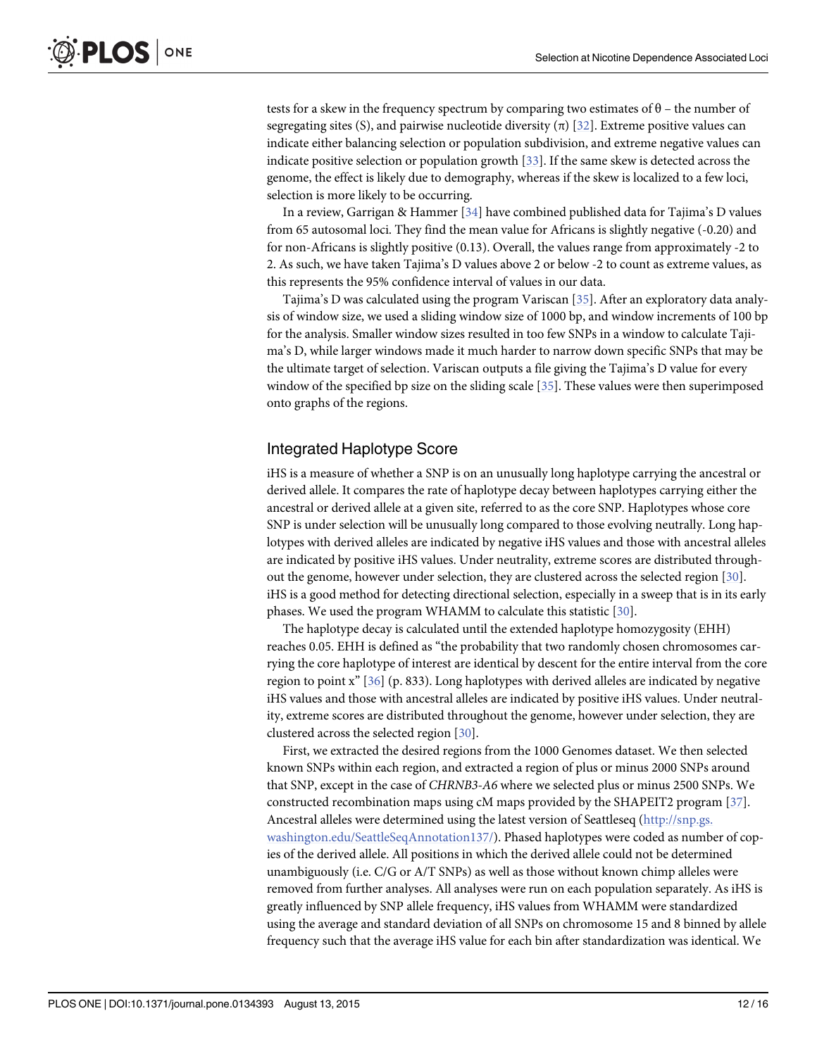<span id="page-11-0"></span>tests for a skew in the frequency spectrum by comparing two estimates of  $\theta$  – the number of segregating sites (S), and pairwise nucleotide diversity ( $\pi$ ) [[32](#page-15-0)]. Extreme positive values can indicate either balancing selection or population subdivision, and extreme negative values can indicate positive selection or population growth [\[33\]](#page-15-0). If the same skew is detected across the genome, the effect is likely due to demography, whereas if the skew is localized to a few loci, selection is more likely to be occurring.

In a review, Garrigan & Hammer [[34](#page-15-0)] have combined published data for Tajima's D values from 65 autosomal loci. They find the mean value for Africans is slightly negative (-0.20) and for non-Africans is slightly positive (0.13). Overall, the values range from approximately -2 to 2. As such, we have taken Tajima's D values above 2 or below -2 to count as extreme values, as this represents the 95% confidence interval of values in our data.

Tajima's D was calculated using the program Variscan [\[35\]](#page-15-0). After an exploratory data analysis of window size, we used a sliding window size of 1000 bp, and window increments of 100 bp for the analysis. Smaller window sizes resulted in too few SNPs in a window to calculate Tajima's D, while larger windows made it much harder to narrow down specific SNPs that may be the ultimate target of selection. Variscan outputs a file giving the Tajima's D value for every window of the specified bp size on the sliding scale [[35](#page-15-0)]. These values were then superimposed onto graphs of the regions.

#### Integrated Haplotype Score

iHS is a measure of whether a SNP is on an unusually long haplotype carrying the ancestral or derived allele. It compares the rate of haplotype decay between haplotypes carrying either the ancestral or derived allele at a given site, referred to as the core SNP. Haplotypes whose core SNP is under selection will be unusually long compared to those evolving neutrally. Long haplotypes with derived alleles are indicated by negative iHS values and those with ancestral alleles are indicated by positive iHS values. Under neutrality, extreme scores are distributed throughout the genome, however under selection, they are clustered across the selected region [\[30\]](#page-15-0). iHS is a good method for detecting directional selection, especially in a sweep that is in its early phases. We used the program WHAMM to calculate this statistic [\[30](#page-15-0)].

The haplotype decay is calculated until the extended haplotype homozygosity (EHH) reaches 0.05. EHH is defined as "the probability that two randomly chosen chromosomes carrying the core haplotype of interest are identical by descent for the entire interval from the core region to point  $x''$  [ $36$ ] (p. 833). Long haplotypes with derived alleles are indicated by negative iHS values and those with ancestral alleles are indicated by positive iHS values. Under neutrality, extreme scores are distributed throughout the genome, however under selection, they are clustered across the selected region [[30](#page-15-0)].

First, we extracted the desired regions from the 1000 Genomes dataset. We then selected known SNPs within each region, and extracted a region of plus or minus 2000 SNPs around that SNP, except in the case of CHRNB3-A6 where we selected plus or minus 2500 SNPs. We constructed recombination maps using cM maps provided by the SHAPEIT2 program [\[37\]](#page-15-0). Ancestral alleles were determined using the latest version of Seattleseq [\(http://snp.gs.](http://snp.gs.washington.edu/SeattleSeqAnnotation137/) [washington.edu/SeattleSeqAnnotation137/\)](http://snp.gs.washington.edu/SeattleSeqAnnotation137/). Phased haplotypes were coded as number of copies of the derived allele. All positions in which the derived allele could not be determined unambiguously (i.e. C/G or A/T SNPs) as well as those without known chimp alleles were removed from further analyses. All analyses were run on each population separately. As iHS is greatly influenced by SNP allele frequency, iHS values from WHAMM were standardized using the average and standard deviation of all SNPs on chromosome 15 and 8 binned by allele frequency such that the average iHS value for each bin after standardization was identical. We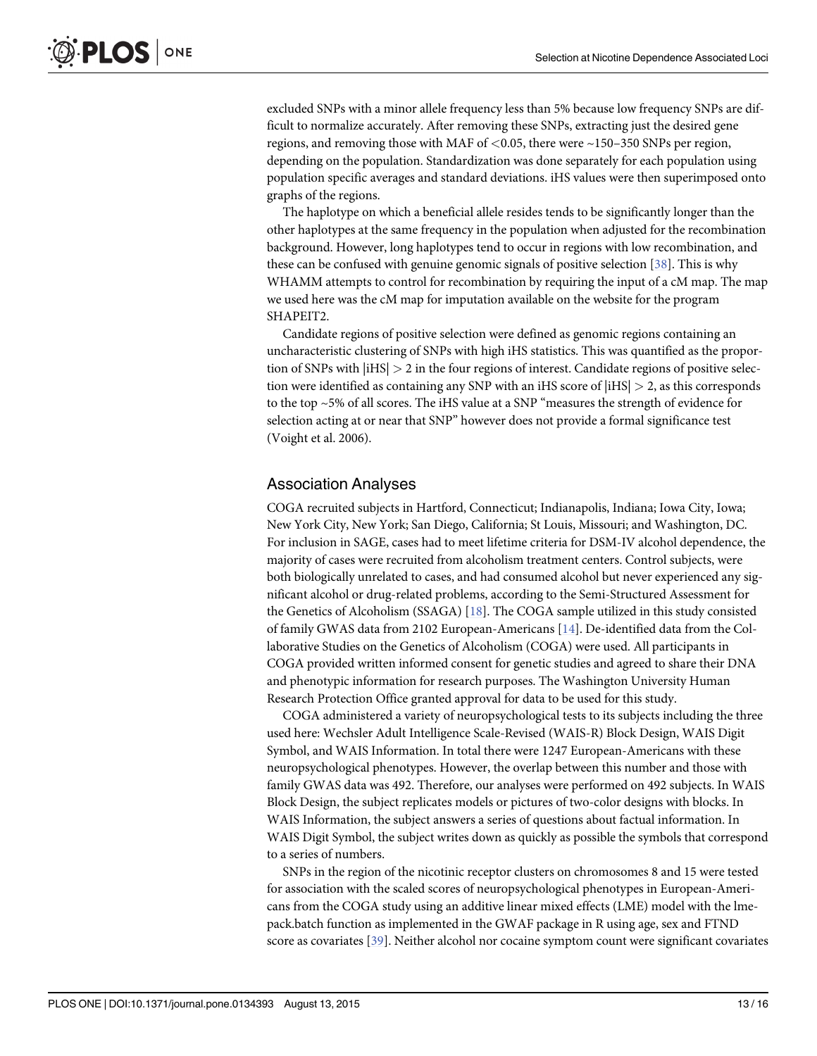<span id="page-12-0"></span>excluded SNPs with a minor allele frequency less than 5% because low frequency SNPs are difficult to normalize accurately. After removing these SNPs, extracting just the desired gene regions, and removing those with MAF of <0.05, there were ~150–350 SNPs per region, depending on the population. Standardization was done separately for each population using population specific averages and standard deviations. iHS values were then superimposed onto graphs of the regions.

The haplotype on which a beneficial allele resides tends to be significantly longer than the other haplotypes at the same frequency in the population when adjusted for the recombination background. However, long haplotypes tend to occur in regions with low recombination, and these can be confused with genuine genomic signals of positive selection [[38](#page-15-0)]. This is why WHAMM attempts to control for recombination by requiring the input of a cM map. The map we used here was the cM map for imputation available on the website for the program SHAPEIT2.

Candidate regions of positive selection were defined as genomic regions containing an uncharacteristic clustering of SNPs with high iHS statistics. This was quantified as the proportion of SNPs with  $|iHS| > 2$  in the four regions of interest. Candidate regions of positive selection were identified as containing any SNP with an iHS score of  $|iHS| > 2$ , as this corresponds to the top ~5% of all scores. The iHS value at a SNP "measures the strength of evidence for selection acting at or near that SNP" however does not provide a formal significance test (Voight et al. 2006).

#### Association Analyses

COGA recruited subjects in Hartford, Connecticut; Indianapolis, Indiana; Iowa City, Iowa; New York City, New York; San Diego, California; St Louis, Missouri; and Washington, DC. For inclusion in SAGE, cases had to meet lifetime criteria for DSM-IV alcohol dependence, the majority of cases were recruited from alcoholism treatment centers. Control subjects, were both biologically unrelated to cases, and had consumed alcohol but never experienced any significant alcohol or drug-related problems, according to the Semi-Structured Assessment for the Genetics of Alcoholism (SSAGA) [\[18\]](#page-14-0). The COGA sample utilized in this study consisted of family GWAS data from 2102 European-Americans [\[14](#page-14-0)]. De-identified data from the Collaborative Studies on the Genetics of Alcoholism (COGA) were used. All participants in COGA provided written informed consent for genetic studies and agreed to share their DNA and phenotypic information for research purposes. The Washington University Human Research Protection Office granted approval for data to be used for this study.

COGA administered a variety of neuropsychological tests to its subjects including the three used here: Wechsler Adult Intelligence Scale-Revised (WAIS-R) Block Design, WAIS Digit Symbol, and WAIS Information. In total there were 1247 European-Americans with these neuropsychological phenotypes. However, the overlap between this number and those with family GWAS data was 492. Therefore, our analyses were performed on 492 subjects. In WAIS Block Design, the subject replicates models or pictures of two-color designs with blocks. In WAIS Information, the subject answers a series of questions about factual information. In WAIS Digit Symbol, the subject writes down as quickly as possible the symbols that correspond to a series of numbers.

SNPs in the region of the nicotinic receptor clusters on chromosomes 8 and 15 were tested for association with the scaled scores of neuropsychological phenotypes in European-Americans from the COGA study using an additive linear mixed effects (LME) model with the lmepack.batch function as implemented in the GWAF package in R using age, sex and FTND score as covariates [\[39\]](#page-15-0). Neither alcohol nor cocaine symptom count were significant covariates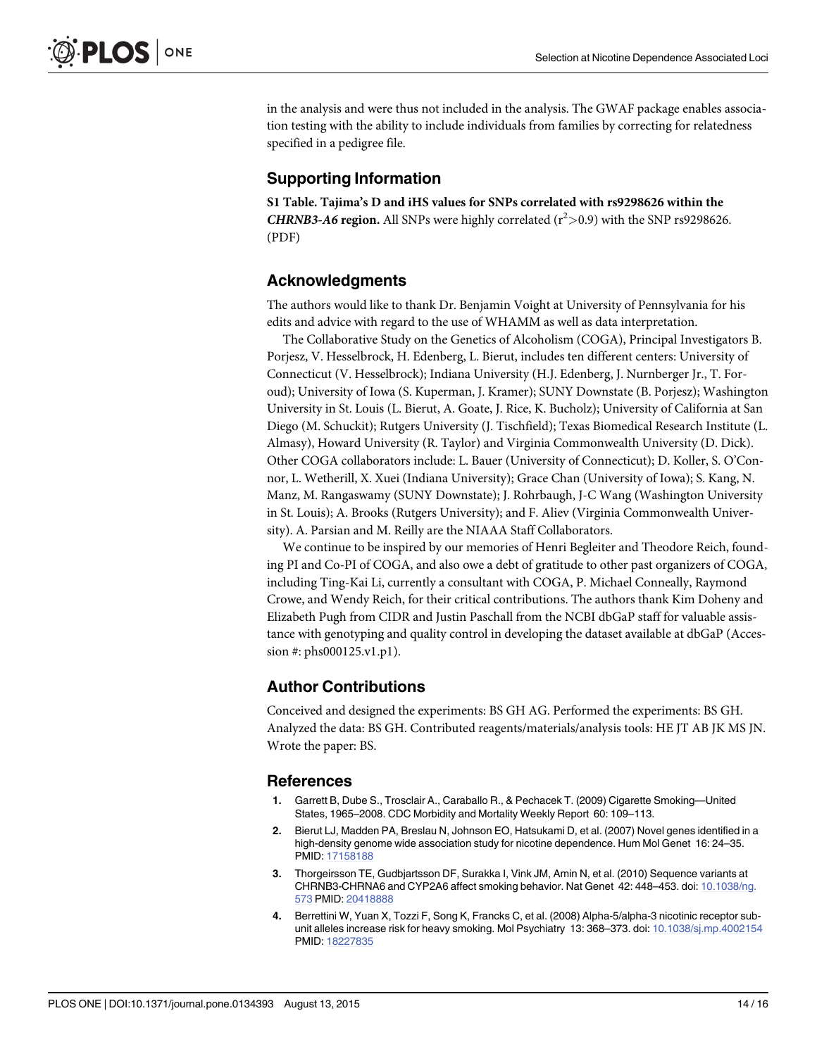<span id="page-13-0"></span>in the analysis and were thus not included in the analysis. The GWAF package enables association testing with the ability to include individuals from families by correcting for relatedness specified in a pedigree file.

### Supporting Information

[S1 Table](http://www.plosone.org/article/fetchSingleRepresentation.action?uri=info:doi/10.1371/journal.pone.0134393.s001). Tajima's D and iHS values for SNPs correlated with rs9298626 within the **CHRNB3-A6 region.** All SNPs were highly correlated  $(r^2 > 0.9)$  with the SNP rs9298626. (PDF)

## Acknowledgments

The authors would like to thank Dr. Benjamin Voight at University of Pennsylvania for his edits and advice with regard to the use of WHAMM as well as data interpretation.

The Collaborative Study on the Genetics of Alcoholism (COGA), Principal Investigators B. Porjesz, V. Hesselbrock, H. Edenberg, L. Bierut, includes ten different centers: University of Connecticut (V. Hesselbrock); Indiana University (H.J. Edenberg, J. Nurnberger Jr., T. Foroud); University of Iowa (S. Kuperman, J. Kramer); SUNY Downstate (B. Porjesz); Washington University in St. Louis (L. Bierut, A. Goate, J. Rice, K. Bucholz); University of California at San Diego (M. Schuckit); Rutgers University (J. Tischfield); Texas Biomedical Research Institute (L. Almasy), Howard University (R. Taylor) and Virginia Commonwealth University (D. Dick). Other COGA collaborators include: L. Bauer (University of Connecticut); D. Koller, S. O'Connor, L. Wetherill, X. Xuei (Indiana University); Grace Chan (University of Iowa); S. Kang, N. Manz, M. Rangaswamy (SUNY Downstate); J. Rohrbaugh, J-C Wang (Washington University in St. Louis); A. Brooks (Rutgers University); and F. Aliev (Virginia Commonwealth University). A. Parsian and M. Reilly are the NIAAA Staff Collaborators.

We continue to be inspired by our memories of Henri Begleiter and Theodore Reich, founding PI and Co-PI of COGA, and also owe a debt of gratitude to other past organizers of COGA, including Ting-Kai Li, currently a consultant with COGA, P. Michael Conneally, Raymond Crowe, and Wendy Reich, for their critical contributions. The authors thank Kim Doheny and Elizabeth Pugh from CIDR and Justin Paschall from the NCBI dbGaP staff for valuable assistance with genotyping and quality control in developing the dataset available at dbGaP (Accession #: phs000125.v1.p1).

#### Author Contributions

Conceived and designed the experiments: BS GH AG. Performed the experiments: BS GH. Analyzed the data: BS GH. Contributed reagents/materials/analysis tools: HE JT AB JK MS JN. Wrote the paper: BS.

#### References

- [1.](#page-0-0) Garrett B, Dube S., Trosclair A., Caraballo R., & Pechacek T. (2009) Cigarette Smoking—United States, 1965–2008. CDC Morbidity and Mortality Weekly Report 60: 109–113.
- [2.](#page-1-0) Bierut LJ, Madden PA, Breslau N, Johnson EO, Hatsukami D, et al. (2007) Novel genes identified in a high-density genome wide association study for nicotine dependence. Hum Mol Genet 16: 24–35. PMID: [17158188](http://www.ncbi.nlm.nih.gov/pubmed/17158188)
- 3. Thorgeirsson TE, Gudbjartsson DF, Surakka I, Vink JM, Amin N, et al. (2010) Sequence variants at CHRNB3-CHRNA6 and CYP2A6 affect smoking behavior. Nat Genet 42: 448–453. doi: [10.1038/ng.](http://dx.doi.org/10.1038/ng.573) [573](http://dx.doi.org/10.1038/ng.573) PMID: [20418888](http://www.ncbi.nlm.nih.gov/pubmed/20418888)
- [4.](#page-1-0) Berrettini W, Yuan X, Tozzi F, Song K, Francks C, et al. (2008) Alpha-5/alpha-3 nicotinic receptor subunit alleles increase risk for heavy smoking. Mol Psychiatry 13: 368–373. doi: [10.1038/sj.mp.4002154](http://dx.doi.org/10.1038/sj.mp.4002154) PMID: [18227835](http://www.ncbi.nlm.nih.gov/pubmed/18227835)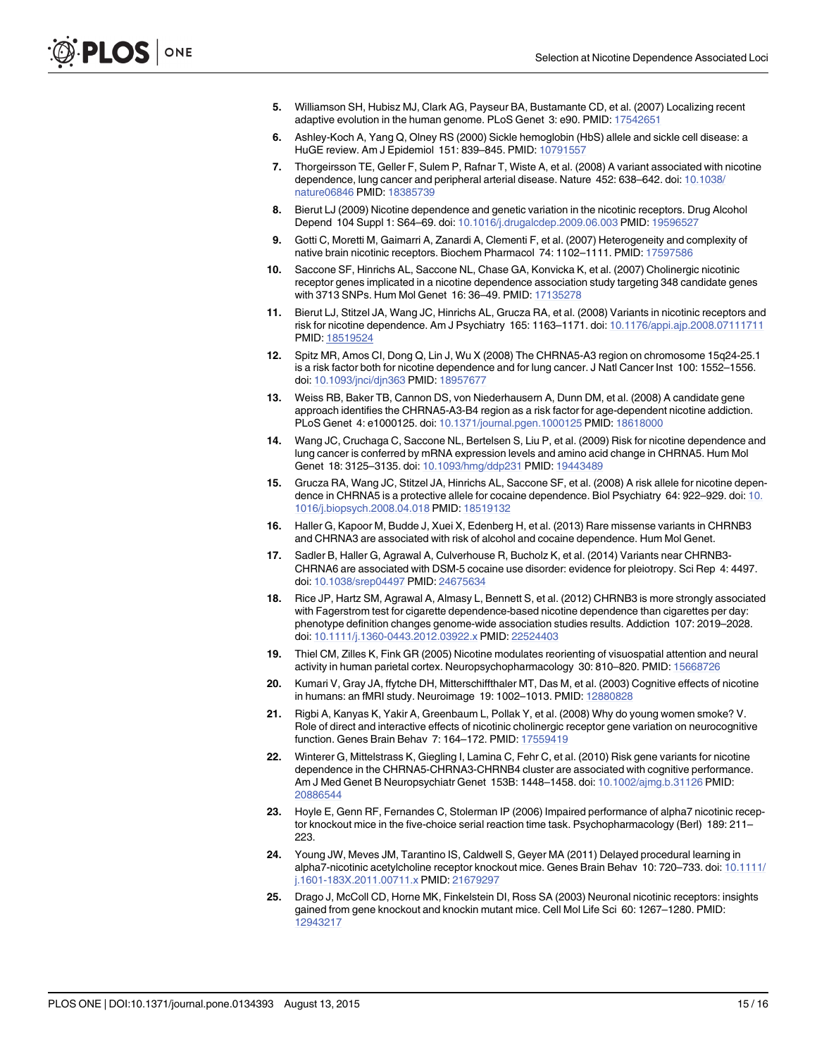- <span id="page-14-0"></span>[5.](#page-1-0) Williamson SH, Hubisz MJ, Clark AG, Payseur BA, Bustamante CD, et al. (2007) Localizing recent adaptive evolution in the human genome. PLoS Genet 3: e90. PMID: [17542651](http://www.ncbi.nlm.nih.gov/pubmed/17542651)
- [6.](#page-1-0) Ashley-Koch A, Yang Q, Olney RS (2000) Sickle hemoglobin (HbS) allele and sickle cell disease: a HuGE review. Am J Epidemiol 151: 839–845. PMID: [10791557](http://www.ncbi.nlm.nih.gov/pubmed/10791557)
- [7.](#page-1-0) Thorgeirsson TE, Geller F, Sulem P, Rafnar T, Wiste A, et al. (2008) A variant associated with nicotine dependence, lung cancer and peripheral arterial disease. Nature 452: 638–642. doi: [10.1038/](http://dx.doi.org/10.1038/nature06846) [nature06846](http://dx.doi.org/10.1038/nature06846) PMID: [18385739](http://www.ncbi.nlm.nih.gov/pubmed/18385739)
- [8.](#page-1-0) Bierut LJ (2009) Nicotine dependence and genetic variation in the nicotinic receptors. Drug Alcohol Depend 104 Suppl 1: S64–69. doi: [10.1016/j.drugalcdep.2009.06.003](http://dx.doi.org/10.1016/j.drugalcdep.2009.06.003) PMID: [19596527](http://www.ncbi.nlm.nih.gov/pubmed/19596527)
- [9.](#page-1-0) Gotti C, Moretti M, Gaimarri A, Zanardi A, Clementi F, et al. (2007) Heterogeneity and complexity of native brain nicotinic receptors. Biochem Pharmacol 74: 1102–1111. PMID: [17597586](http://www.ncbi.nlm.nih.gov/pubmed/17597586)
- [10.](#page-1-0) Saccone SF, Hinrichs AL, Saccone NL, Chase GA, Konvicka K, et al. (2007) Cholinergic nicotinic receptor genes implicated in a nicotine dependence association study targeting 348 candidate genes with 3713 SNPs. Hum Mol Genet 16: 36–49. PMID: [17135278](http://www.ncbi.nlm.nih.gov/pubmed/17135278)
- [11.](#page-1-0) Bierut LJ, Stitzel JA, Wang JC, Hinrichs AL, Grucza RA, et al. (2008) Variants in nicotinic receptors and risk for nicotine dependence. Am J Psychiatry 165: 1163–1171. doi: [10.1176/appi.ajp.2008.07111711](http://dx.doi.org/10.1176/appi.ajp.2008.07111711) PMID: [18519524](http://www.ncbi.nlm.nih.gov/pubmed/18519524)
- 12. Spitz MR, Amos CI, Dong Q, Lin J, Wu X (2008) The CHRNA5-A3 region on chromosome 15q24-25.1 is a risk factor both for nicotine dependence and for lung cancer. J Natl Cancer Inst 100: 1552–1556. doi: [10.1093/jnci/djn363](http://dx.doi.org/10.1093/jnci/djn363) PMID: [18957677](http://www.ncbi.nlm.nih.gov/pubmed/18957677)
- 13. Weiss RB, Baker TB, Cannon DS, von Niederhausern A, Dunn DM, et al. (2008) A candidate gene approach identifies the CHRNA5-A3-B4 region as a risk factor for age-dependent nicotine addiction. PLoS Genet 4: e1000125. doi: [10.1371/journal.pgen.1000125](http://dx.doi.org/10.1371/journal.pgen.1000125) PMID: [18618000](http://www.ncbi.nlm.nih.gov/pubmed/18618000)
- [14.](#page-1-0) Wang JC, Cruchaga C, Saccone NL, Bertelsen S, Liu P, et al. (2009) Risk for nicotine dependence and lung cancer is conferred by mRNA expression levels and amino acid change in CHRNA5. Hum Mol Genet 18: 3125–3135. doi: [10.1093/hmg/ddp231](http://dx.doi.org/10.1093/hmg/ddp231) PMID: [19443489](http://www.ncbi.nlm.nih.gov/pubmed/19443489)
- [15.](#page-1-0) Grucza RA, Wang JC, Stitzel JA, Hinrichs AL, Saccone SF, et al. (2008) A risk allele for nicotine dependence in CHRNA5 is a protective allele for cocaine dependence. Biol Psychiatry 64: 922–929. doi: [10.](http://dx.doi.org/10.1016/j.biopsych.2008.04.018) [1016/j.biopsych.2008.04.018](http://dx.doi.org/10.1016/j.biopsych.2008.04.018) PMID: [18519132](http://www.ncbi.nlm.nih.gov/pubmed/18519132)
- 16. Haller G, Kapoor M, Budde J, Xuei X, Edenberg H, et al. (2013) Rare missense variants in CHRNB3 and CHRNA3 are associated with risk of alcohol and cocaine dependence. Hum Mol Genet.
- [17.](#page-1-0) Sadler B, Haller G, Agrawal A, Culverhouse R, Bucholz K, et al. (2014) Variants near CHRNB3- CHRNA6 are associated with DSM-5 cocaine use disorder: evidence for pleiotropy. Sci Rep 4: 4497. doi: [10.1038/srep04497](http://dx.doi.org/10.1038/srep04497) PMID: [24675634](http://www.ncbi.nlm.nih.gov/pubmed/24675634)
- [18.](#page-1-0) Rice JP, Hartz SM, Agrawal A, Almasy L, Bennett S, et al. (2012) CHRNB3 is more strongly associated with Fagerstrom test for cigarette dependence-based nicotine dependence than cigarettes per day: phenotype definition changes genome-wide association studies results. Addiction 107: 2019–2028. doi: [10.1111/j.1360-0443.2012.03922.x](http://dx.doi.org/10.1111/j.1360-0443.2012.03922.x) PMID: [22524403](http://www.ncbi.nlm.nih.gov/pubmed/22524403)
- [19.](#page-2-0) Thiel CM, Zilles K, Fink GR (2005) Nicotine modulates reorienting of visuospatial attention and neural activity in human parietal cortex. Neuropsychopharmacology 30: 810-820. PMID: [15668726](http://www.ncbi.nlm.nih.gov/pubmed/15668726)
- [20.](#page-2-0) Kumari V, Gray JA, ffytche DH, Mitterschiffthaler MT, Das M, et al. (2003) Cognitive effects of nicotine in humans: an fMRI study. Neuroimage 19: 1002–1013. PMID: [12880828](http://www.ncbi.nlm.nih.gov/pubmed/12880828)
- [21.](#page-2-0) Rigbi A, Kanyas K, Yakir A, Greenbaum L, Pollak Y, et al. (2008) Why do young women smoke? V. Role of direct and interactive effects of nicotinic cholinergic receptor gene variation on neurocognitive function. Genes Brain Behav 7: 164–172. PMID: [17559419](http://www.ncbi.nlm.nih.gov/pubmed/17559419)
- [22.](#page-2-0) Winterer G, Mittelstrass K, Giegling I, Lamina C, Fehr C, et al. (2010) Risk gene variants for nicotine dependence in the CHRNA5-CHRNA3-CHRNB4 cluster are associated with cognitive performance. Am J Med Genet B Neuropsychiatr Genet 153B: 1448–1458. doi: [10.1002/ajmg.b.31126](http://dx.doi.org/10.1002/ajmg.b.31126) PMID: [20886544](http://www.ncbi.nlm.nih.gov/pubmed/20886544)
- [23.](#page-2-0) Hoyle E, Genn RF, Fernandes C, Stolerman IP (2006) Impaired performance of alpha7 nicotinic receptor knockout mice in the five-choice serial reaction time task. Psychopharmacology (Berl) 189: 211– 223.
- [24.](#page-2-0) Young JW, Meves JM, Tarantino IS, Caldwell S, Geyer MA (2011) Delayed procedural learning in alpha7-nicotinic acetylcholine receptor knockout mice. Genes Brain Behav 10: 720–733. doi: [10.1111/](http://dx.doi.org/10.1111/j.1601-183X.2011.00711.x) [j.1601-183X.2011.00711.x](http://dx.doi.org/10.1111/j.1601-183X.2011.00711.x) PMID: [21679297](http://www.ncbi.nlm.nih.gov/pubmed/21679297)
- [25.](#page-2-0) Drago J, McColl CD, Horne MK, Finkelstein DI, Ross SA (2003) Neuronal nicotinic receptors: insights gained from gene knockout and knockin mutant mice. Cell Mol Life Sci 60: 1267–1280. PMID: [12943217](http://www.ncbi.nlm.nih.gov/pubmed/12943217)